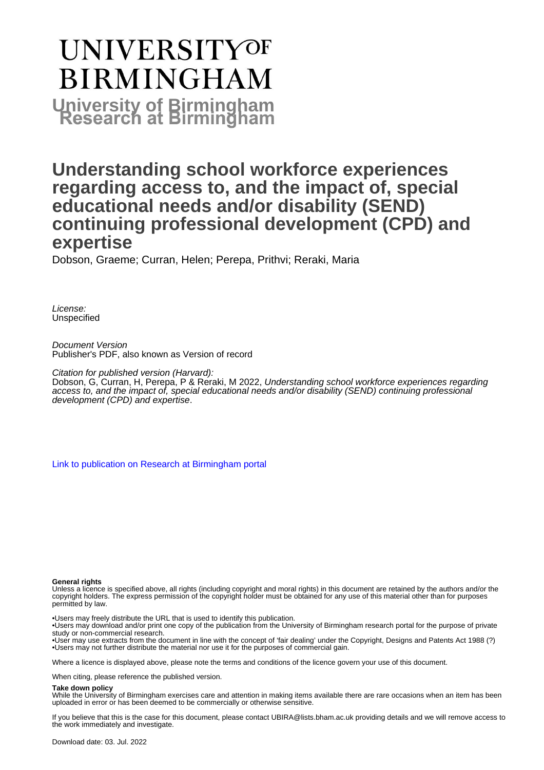# **UNIVERSITYOF BIRMINGHAM University of Birmingham**

# **Understanding school workforce experiences regarding access to, and the impact of, special educational needs and/or disability (SEND) continuing professional development (CPD) and expertise**

Dobson, Graeme; Curran, Helen; Perepa, Prithvi; Reraki, Maria

License: Unspecified

Document Version Publisher's PDF, also known as Version of record

Citation for published version (Harvard):

Dobson, G, Curran, H, Perepa, P & Reraki, M 2022, Understanding school workforce experiences regarding access to, and the impact of, special educational needs and/or disability (SEND) continuing professional development (CPD) and expertise.

[Link to publication on Research at Birmingham portal](https://birmingham.elsevierpure.com/en/publications/0e1beb29-90f4-4bcc-8d61-b81bd186f13a)

#### **General rights**

Unless a licence is specified above, all rights (including copyright and moral rights) in this document are retained by the authors and/or the copyright holders. The express permission of the copyright holder must be obtained for any use of this material other than for purposes permitted by law.

• Users may freely distribute the URL that is used to identify this publication.

• Users may download and/or print one copy of the publication from the University of Birmingham research portal for the purpose of private study or non-commercial research.

• User may use extracts from the document in line with the concept of 'fair dealing' under the Copyright, Designs and Patents Act 1988 (?) • Users may not further distribute the material nor use it for the purposes of commercial gain.

Where a licence is displayed above, please note the terms and conditions of the licence govern your use of this document.

When citing, please reference the published version.

#### **Take down policy**

While the University of Birmingham exercises care and attention in making items available there are rare occasions when an item has been uploaded in error or has been deemed to be commercially or otherwise sensitive.

If you believe that this is the case for this document, please contact UBIRA@lists.bham.ac.uk providing details and we will remove access to the work immediately and investigate.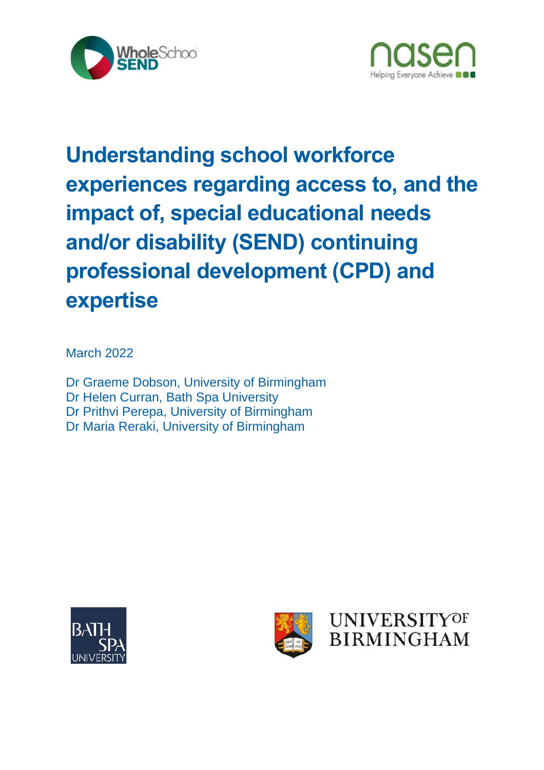



# **Understanding school workforce experiences regarding access to, and the impact of, special educational needs and/or disability (SEND) continuing professional development (CPD) and expertise**

March 2022

Dr Graeme Dobson, University of Birmingham Dr Helen Curran, Bath Spa University Dr Prithvi Perepa, University of Birmingham Dr Maria Reraki, University of Birmingham



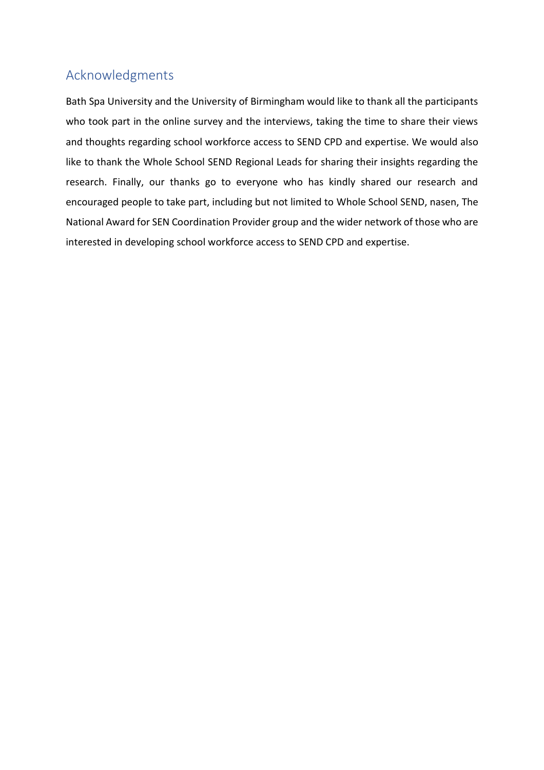# Acknowledgments

Bath Spa University and the University of Birmingham would like to thank all the participants who took part in the online survey and the interviews, taking the time to share their views and thoughts regarding school workforce access to SEND CPD and expertise. We would also like to thank the Whole School SEND Regional Leads for sharing their insights regarding the research. Finally, our thanks go to everyone who has kindly shared our research and encouraged people to take part, including but not limited to Whole School SEND, nasen, The National Award for SEN Coordination Provider group and the wider network of those who are interested in developing school workforce access to SEND CPD and expertise.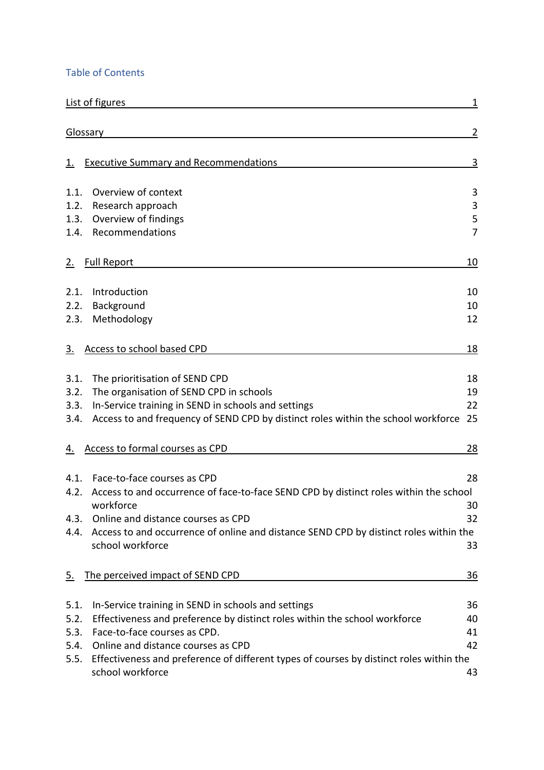### Table of Contents

| List of figures                                                                                                     | 1              |
|---------------------------------------------------------------------------------------------------------------------|----------------|
| Glossary                                                                                                            | $\overline{2}$ |
| <b>Executive Summary and Recommendations</b>                                                                        | <u>3</u>       |
|                                                                                                                     |                |
| Overview of context<br>1.1.                                                                                         | 3              |
| 1.2.<br>Research approach                                                                                           | 3              |
| Overview of findings<br>1.3.                                                                                        | 5              |
| Recommendations<br>1.4.                                                                                             | $\overline{7}$ |
| <b>Full Report</b><br>2.                                                                                            | 10             |
| Introduction<br>2.1.                                                                                                | 10             |
| Background<br>2.2.                                                                                                  | 10             |
| Methodology<br>2.3.                                                                                                 | 12             |
| Access to school based CPD<br><u>3.</u>                                                                             | <u>18</u>      |
| The prioritisation of SEND CPD<br>3.1.                                                                              | 18             |
| The organisation of SEND CPD in schools<br>3.2.                                                                     | 19             |
| In-Service training in SEND in schools and settings<br>3.3.                                                         | 22             |
| Access to and frequency of SEND CPD by distinct roles within the school workforce<br>3.4.                           | 25             |
| Access to formal courses as CPD<br><u>4.</u>                                                                        | <u> 28</u>     |
| Face-to-face courses as CPD<br>4.1.                                                                                 | 28             |
| Access to and occurrence of face-to-face SEND CPD by distinct roles within the school<br>4.2.                       |                |
| workforce                                                                                                           | 30             |
| Online and distance courses as CPD<br>4.3.                                                                          | 32             |
| Access to and occurrence of online and distance SEND CPD by distinct roles within the<br>4.4.                       |                |
| school workforce                                                                                                    | 33             |
| The perceived impact of SEND CPD<br><u>5.</u>                                                                       | <u>36</u>      |
| In-Service training in SEND in schools and settings<br>5.1.                                                         | 36             |
| 5.2.<br>Effectiveness and preference by distinct roles within the school workforce                                  | 40             |
| Face-to-face courses as CPD.<br>5.3.                                                                                | 41             |
| Online and distance courses as CPD<br>5.4.                                                                          | 42             |
| Effectiveness and preference of different types of courses by distinct roles within the<br>5.5.<br>school workforce | 43             |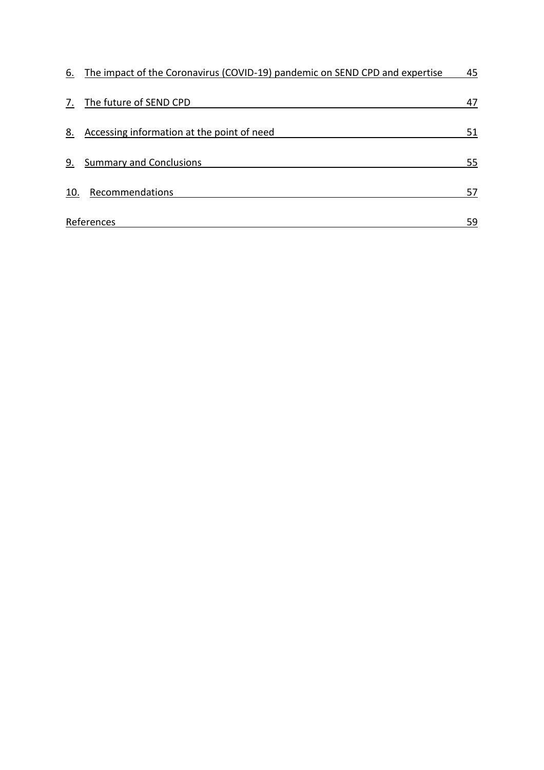| 6.  | The impact of the Coronavirus (COVID-19) pandemic on SEND CPD and expertise | 45 |
|-----|-----------------------------------------------------------------------------|----|
| 7.  | The future of SEND CPD                                                      | 47 |
| 8.  | Accessing information at the point of need                                  | 51 |
| 9.  | <b>Summary and Conclusions</b>                                              | 55 |
| 10. | Recommendations                                                             | 57 |
|     | References                                                                  | 59 |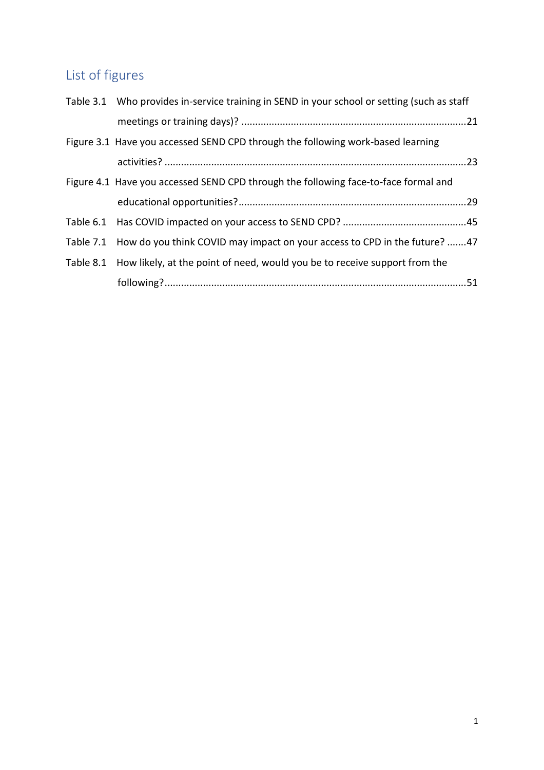# <span id="page-5-0"></span>List of figures

| Table 3.1 Who provides in-service training in SEND in your school or setting (such as staff |  |
|---------------------------------------------------------------------------------------------|--|
|                                                                                             |  |
| Figure 3.1 Have you accessed SEND CPD through the following work-based learning             |  |
|                                                                                             |  |
| Figure 4.1 Have you accessed SEND CPD through the following face-to-face formal and         |  |
|                                                                                             |  |
|                                                                                             |  |
| Table 7.1 How do you think COVID may impact on your access to CPD in the future? 47         |  |
| Table 8.1 How likely, at the point of need, would you be to receive support from the        |  |
|                                                                                             |  |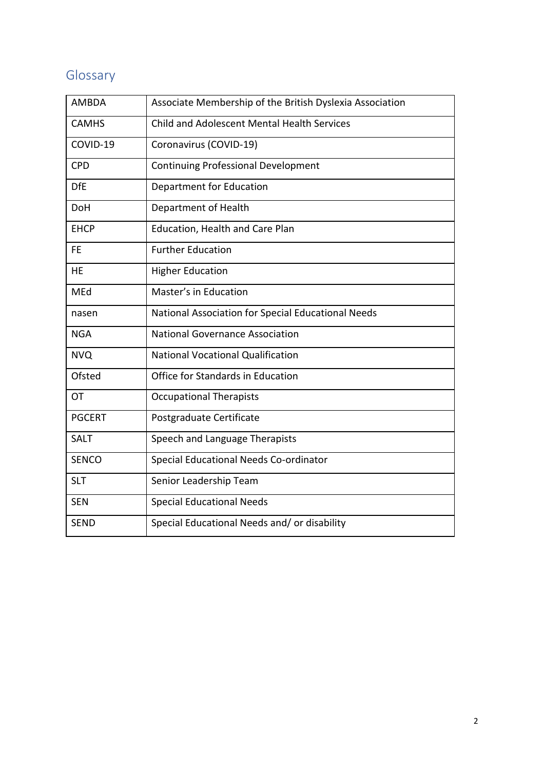# <span id="page-6-0"></span>Glossary

| <b>AMBDA</b>  | Associate Membership of the British Dyslexia Association |
|---------------|----------------------------------------------------------|
| <b>CAMHS</b>  | <b>Child and Adolescent Mental Health Services</b>       |
| COVID-19      | Coronavirus (COVID-19)                                   |
| <b>CPD</b>    | <b>Continuing Professional Development</b>               |
| <b>DfE</b>    | Department for Education                                 |
| <b>DoH</b>    | Department of Health                                     |
| <b>EHCP</b>   | Education, Health and Care Plan                          |
| FE            | <b>Further Education</b>                                 |
| HE            | <b>Higher Education</b>                                  |
| MEd           | Master's in Education                                    |
| nasen         | National Association for Special Educational Needs       |
| <b>NGA</b>    | <b>National Governance Association</b>                   |
| <b>NVQ</b>    | <b>National Vocational Qualification</b>                 |
| Ofsted        | Office for Standards in Education                        |
| ОT            | <b>Occupational Therapists</b>                           |
| <b>PGCERT</b> | Postgraduate Certificate                                 |
| <b>SALT</b>   | Speech and Language Therapists                           |
| <b>SENCO</b>  | Special Educational Needs Co-ordinator                   |
| <b>SLT</b>    | Senior Leadership Team                                   |
| <b>SEN</b>    | <b>Special Educational Needs</b>                         |
| <b>SEND</b>   | Special Educational Needs and/ or disability             |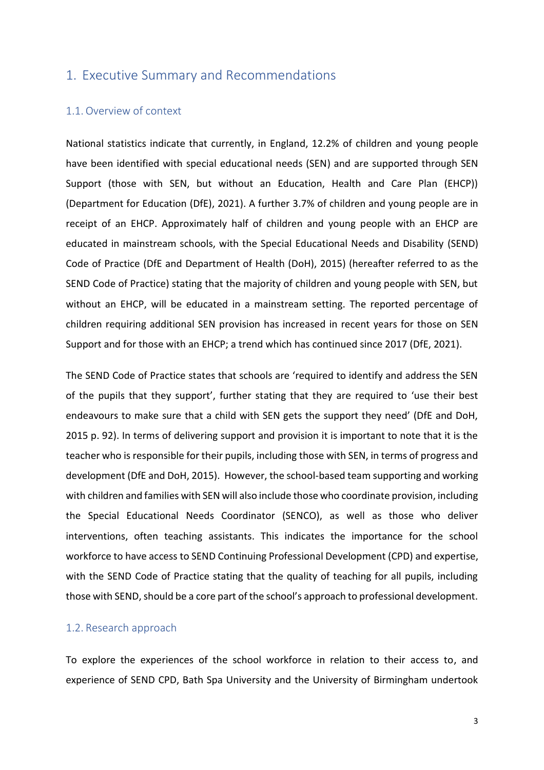#### <span id="page-7-0"></span>1. Executive Summary and Recommendations

#### <span id="page-7-1"></span>1.1.Overview of context

National statistics indicate that currently, in England, 12.2% of children and young people have been identified with special educational needs (SEN) and are supported through SEN Support (those with SEN, but without an Education, Health and Care Plan (EHCP)) (Department for Education (DfE), 2021). A further 3.7% of children and young people are in receipt of an EHCP. Approximately half of children and young people with an EHCP are educated in mainstream schools, with the Special Educational Needs and Disability (SEND) Code of Practice (DfE and Department of Health (DoH), 2015) (hereafter referred to as the SEND Code of Practice) stating that the majority of children and young people with SEN, but without an EHCP, will be educated in a mainstream setting. The reported percentage of children requiring additional SEN provision has increased in recent years for those on SEN Support and for those with an EHCP; a trend which has continued since 2017 (DfE, 2021).

The SEND Code of Practice states that schools are 'required to identify and address the SEN of the pupils that they support', further stating that they are required to 'use their best endeavours to make sure that a child with SEN gets the support they need' (DfE and DoH, 2015 p. 92). In terms of delivering support and provision it is important to note that it is the teacher who is responsible for their pupils, including those with SEN, in terms of progress and development (DfE and DoH, 2015). However, the school-based team supporting and working with children and families with SEN will also include those who coordinate provision, including the Special Educational Needs Coordinator (SENCO), as well as those who deliver interventions, often teaching assistants. This indicates the importance for the school workforce to have access to SEND Continuing Professional Development (CPD) and expertise, with the SEND Code of Practice stating that the quality of teaching for all pupils, including those with SEND, should be a core part of the school's approach to professional development.

#### <span id="page-7-2"></span>1.2. Research approach

To explore the experiences of the school workforce in relation to their access to, and experience of SEND CPD, Bath Spa University and the University of Birmingham undertook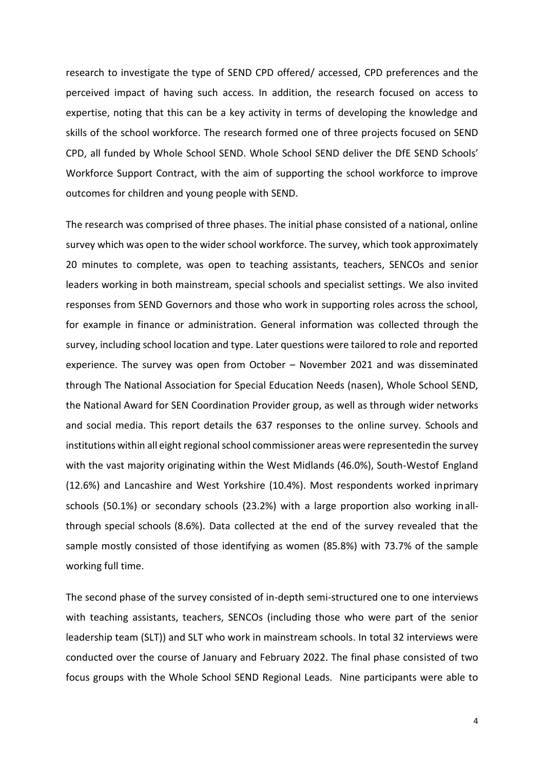research to investigate the type of SEND CPD offered/ accessed, CPD preferences and the perceived impact of having such access. In addition, the research focused on access to expertise, noting that this can be a key activity in terms of developing the knowledge and skills of the school workforce. The research formed one of three projects focused on SEND CPD, all funded by Whole School SEND. Whole School SEND deliver the DfE SEND Schools' Workforce Support Contract, with the aim of supporting the school workforce to improve outcomes for children and young people with SEND.

The research was comprised of three phases. The initial phase consisted of a national, online survey which was open to the wider school workforce. The survey, which took approximately 20 minutes to complete, was open to teaching assistants, teachers, SENCOs and senior leaders working in both mainstream, special schools and specialist settings. We also invited responses from SEND Governors and those who work in supporting roles across the school, for example in finance or administration. General information was collected through the survey, including school location and type. Later questions were tailored to role and reported experience. The survey was open from October – November 2021 and was disseminated through The National Association for Special Education Needs (nasen), Whole School SEND, the National Award for SEN Coordination Provider group, as well as through wider networks and social media. This report details the 637 responses to the online survey. Schools and institutions within all eight regional school commissioner areas were representedin the survey with the vast majority originating within the West Midlands (46.0%), South-Westof England (12.6%) and Lancashire and West Yorkshire (10.4%). Most respondents worked inprimary schools (50.1%) or secondary schools (23.2%) with a large proportion also working inallthrough special schools (8.6%). Data collected at the end of the survey revealed that the sample mostly consisted of those identifying as women (85.8%) with 73.7% of the sample working full time.

The second phase of the survey consisted of in-depth semi-structured one to one interviews with teaching assistants, teachers, SENCOs (including those who were part of the senior leadership team (SLT)) and SLT who work in mainstream schools. In total 32 interviews were conducted over the course of January and February 2022. The final phase consisted of two focus groups with the Whole School SEND Regional Leads. Nine participants were able to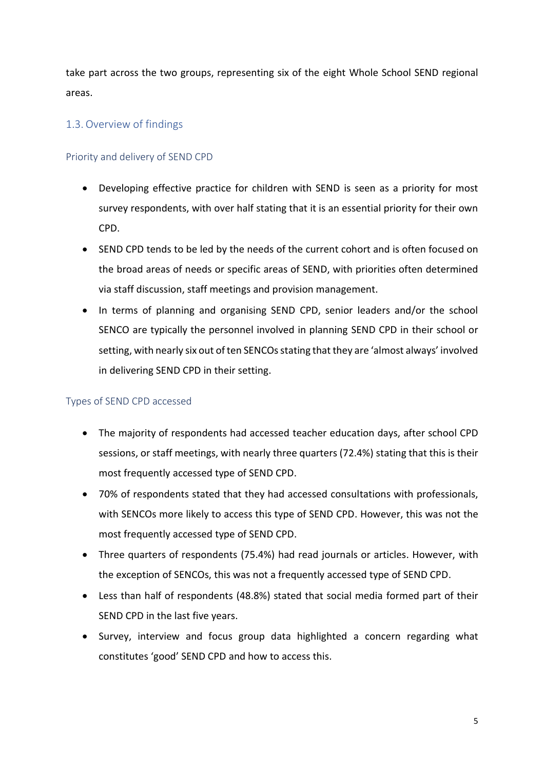take part across the two groups, representing six of the eight Whole School SEND regional areas.

#### <span id="page-9-0"></span>1.3.Overview of findings

#### Priority and delivery of SEND CPD

- Developing effective practice for children with SEND is seen as a priority for most survey respondents, with over half stating that it is an essential priority for their own CPD.
- SEND CPD tends to be led by the needs of the current cohort and is often focused on the broad areas of needs or specific areas of SEND, with priorities often determined via staff discussion, staff meetings and provision management.
- In terms of planning and organising SEND CPD, senior leaders and/or the school SENCO are typically the personnel involved in planning SEND CPD in their school or setting, with nearly six out of ten SENCOs stating that they are 'almost always' involved in delivering SEND CPD in their setting.

#### Types of SEND CPD accessed

- The majority of respondents had accessed teacher education days, after school CPD sessions, or staff meetings, with nearly three quarters (72.4%) stating that this is their most frequently accessed type of SEND CPD.
- 70% of respondents stated that they had accessed consultations with professionals, with SENCOs more likely to access this type of SEND CPD. However, this was not the most frequently accessed type of SEND CPD.
- Three quarters of respondents (75.4%) had read journals or articles. However, with the exception of SENCOs, this was not a frequently accessed type of SEND CPD.
- Less than half of respondents (48.8%) stated that social media formed part of their SEND CPD in the last five years.
- Survey, interview and focus group data highlighted a concern regarding what constitutes 'good' SEND CPD and how to access this.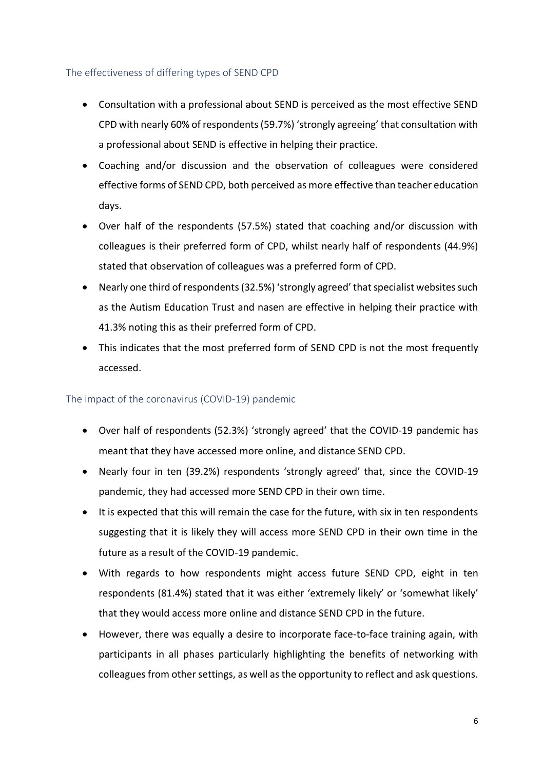#### The effectiveness of differing types of SEND CPD

- Consultation with a professional about SEND is perceived as the most effective SEND CPD with nearly 60% of respondents (59.7%) 'strongly agreeing' that consultation with a professional about SEND is effective in helping their practice.
- Coaching and/or discussion and the observation of colleagues were considered effective forms of SEND CPD, both perceived as more effective than teacher education days.
- Over half of the respondents (57.5%) stated that coaching and/or discussion with colleagues is their preferred form of CPD, whilst nearly half of respondents (44.9%) stated that observation of colleagues was a preferred form of CPD.
- Nearly one third of respondents (32.5%) 'strongly agreed' that specialist websites such as the Autism Education Trust and nasen are effective in helping their practice with 41.3% noting this as their preferred form of CPD.
- This indicates that the most preferred form of SEND CPD is not the most frequently accessed.

#### The impact of the coronavirus (COVID-19) pandemic

- Over half of respondents (52.3%) 'strongly agreed' that the COVID-19 pandemic has meant that they have accessed more online, and distance SEND CPD.
- Nearly four in ten (39.2%) respondents 'strongly agreed' that, since the COVID-19 pandemic, they had accessed more SEND CPD in their own time.
- It is expected that this will remain the case for the future, with six in ten respondents suggesting that it is likely they will access more SEND CPD in their own time in the future as a result of the COVID-19 pandemic.
- With regards to how respondents might access future SEND CPD, eight in ten respondents (81.4%) stated that it was either 'extremely likely' or 'somewhat likely' that they would access more online and distance SEND CPD in the future.
- However, there was equally a desire to incorporate face-to-face training again, with participants in all phases particularly highlighting the benefits of networking with colleagues from other settings, as well as the opportunity to reflect and ask questions.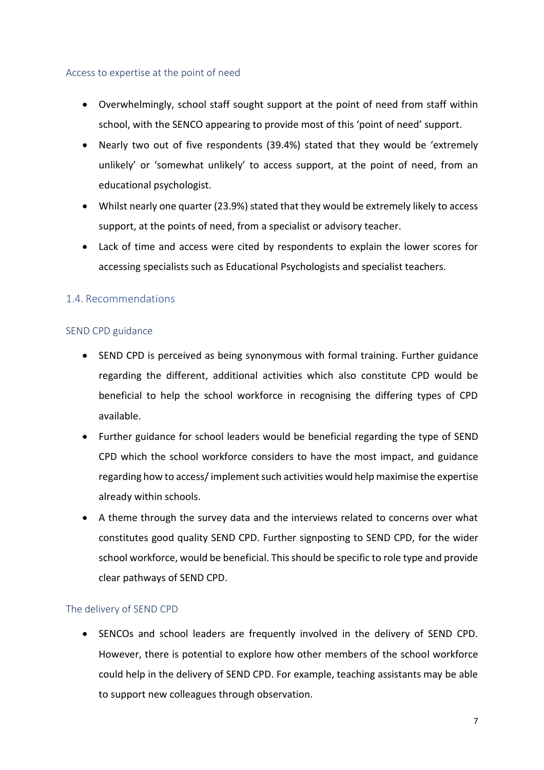#### Access to expertise at the point of need

- Overwhelmingly, school staff sought support at the point of need from staff within school, with the SENCO appearing to provide most of this 'point of need' support.
- Nearly two out of five respondents (39.4%) stated that they would be 'extremely unlikely' or 'somewhat unlikely' to access support, at the point of need, from an educational psychologist.
- Whilst nearly one quarter (23.9%) stated that they would be extremely likely to access support, at the points of need, from a specialist or advisory teacher.
- Lack of time and access were cited by respondents to explain the lower scores for accessing specialists such as Educational Psychologists and specialist teachers.

#### <span id="page-11-0"></span>1.4. Recommendations

#### SEND CPD guidance

- SEND CPD is perceived as being synonymous with formal training. Further guidance regarding the different, additional activities which also constitute CPD would be beneficial to help the school workforce in recognising the differing types of CPD available.
- Further guidance for school leaders would be beneficial regarding the type of SEND CPD which the school workforce considers to have the most impact, and guidance regarding how to access/ implement such activities would help maximise the expertise already within schools.
- A theme through the survey data and the interviews related to concerns over what constitutes good quality SEND CPD. Further signposting to SEND CPD, for the wider school workforce, would be beneficial. This should be specific to role type and provide clear pathways of SEND CPD.

#### The delivery of SEND CPD

• SENCOs and school leaders are frequently involved in the delivery of SEND CPD. However, there is potential to explore how other members of the school workforce could help in the delivery of SEND CPD. For example, teaching assistants may be able to support new colleagues through observation.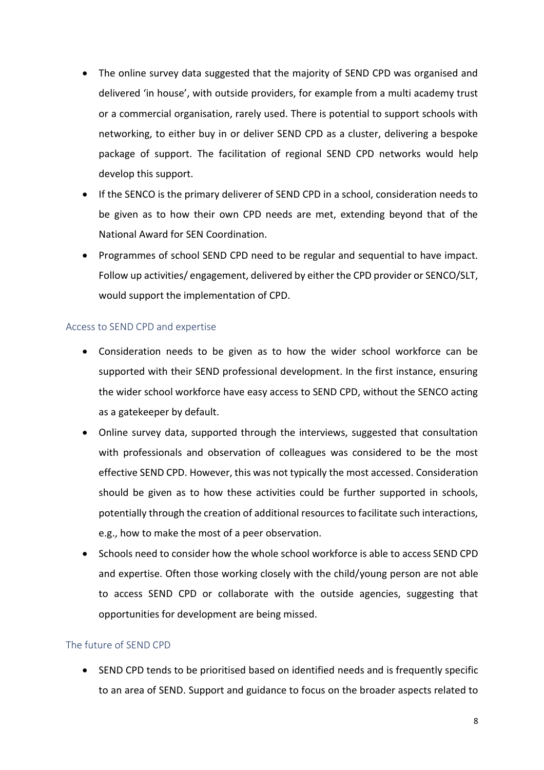- The online survey data suggested that the majority of SEND CPD was organised and delivered 'in house', with outside providers, for example from a multi academy trust or a commercial organisation, rarely used. There is potential to support schools with networking, to either buy in or deliver SEND CPD as a cluster, delivering a bespoke package of support. The facilitation of regional SEND CPD networks would help develop this support.
- If the SENCO is the primary deliverer of SEND CPD in a school, consideration needs to be given as to how their own CPD needs are met, extending beyond that of the National Award for SEN Coordination.
- Programmes of school SEND CPD need to be regular and sequential to have impact. Follow up activities/ engagement, delivered by either the CPD provider or SENCO/SLT, would support the implementation of CPD.

#### Access to SEND CPD and expertise

- Consideration needs to be given as to how the wider school workforce can be supported with their SEND professional development. In the first instance, ensuring the wider school workforce have easy access to SEND CPD, without the SENCO acting as a gatekeeper by default.
- Online survey data, supported through the interviews, suggested that consultation with professionals and observation of colleagues was considered to be the most effective SEND CPD. However, this was not typically the most accessed. Consideration should be given as to how these activities could be further supported in schools, potentially through the creation of additional resources to facilitate such interactions, e.g., how to make the most of a peer observation.
- Schools need to consider how the whole school workforce is able to access SEND CPD and expertise. Often those working closely with the child/young person are not able to access SEND CPD or collaborate with the outside agencies, suggesting that opportunities for development are being missed.

#### The future of SEND CPD

• SEND CPD tends to be prioritised based on identified needs and is frequently specific to an area of SEND. Support and guidance to focus on the broader aspects related to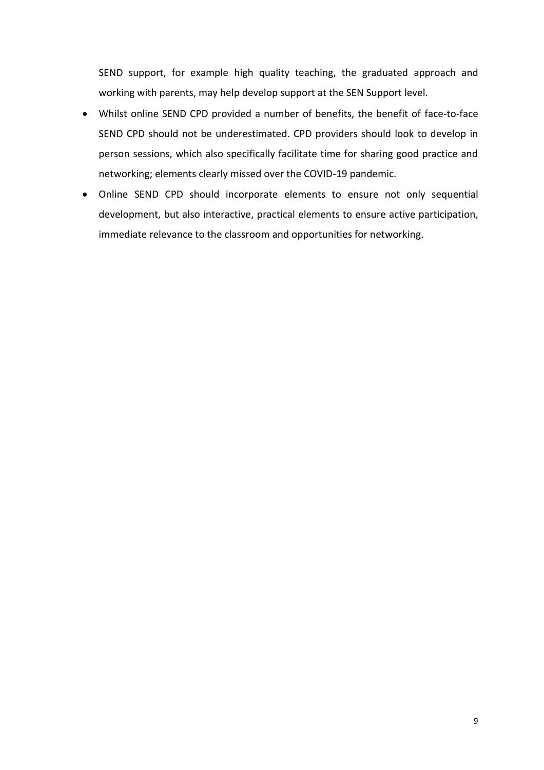SEND support, for example high quality teaching, the graduated approach and working with parents, may help develop support at the SEN Support level.

- Whilst online SEND CPD provided a number of benefits, the benefit of face-to-face SEND CPD should not be underestimated. CPD providers should look to develop in person sessions, which also specifically facilitate time for sharing good practice and networking; elements clearly missed over the COVID-19 pandemic.
- Online SEND CPD should incorporate elements to ensure not only sequential development, but also interactive, practical elements to ensure active participation, immediate relevance to the classroom and opportunities for networking.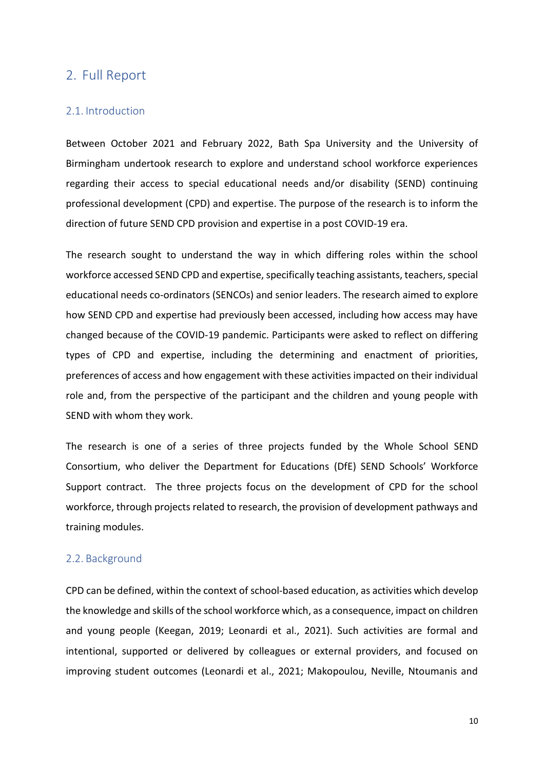#### <span id="page-14-0"></span>2. Full Report

#### <span id="page-14-1"></span>2.1. Introduction

Between October 2021 and February 2022, Bath Spa University and the University of Birmingham undertook research to explore and understand school workforce experiences regarding their access to special educational needs and/or disability (SEND) continuing professional development (CPD) and expertise. The purpose of the research is to inform the direction of future SEND CPD provision and expertise in a post COVID-19 era.

The research sought to understand the way in which differing roles within the school workforce accessed SEND CPD and expertise, specifically teaching assistants, teachers, special educational needs co-ordinators (SENCOs) and senior leaders. The research aimed to explore how SEND CPD and expertise had previously been accessed, including how access may have changed because of the COVID-19 pandemic. Participants were asked to reflect on differing types of CPD and expertise, including the determining and enactment of priorities, preferences of access and how engagement with these activities impacted on their individual role and, from the perspective of the participant and the children and young people with SEND with whom they work.

The research is one of a series of three projects funded by the Whole School SEND Consortium, who deliver the Department for Educations (DfE) SEND Schools' Workforce Support contract. The three projects focus on the development of CPD for the school workforce, through projects related to research, the provision of development pathways and training modules.

#### <span id="page-14-2"></span>2.2. Background

CPD can be defined, within the context of school-based education, as activities which develop the knowledge and skills of the school workforce which, as a consequence, impact on children and young people (Keegan, 2019; Leonardi et al., 2021). Such activities are formal and intentional, supported or delivered by colleagues or external providers, and focused on improving student outcomes (Leonardi et al., 2021; Makopoulou, Neville, Ntoumanis and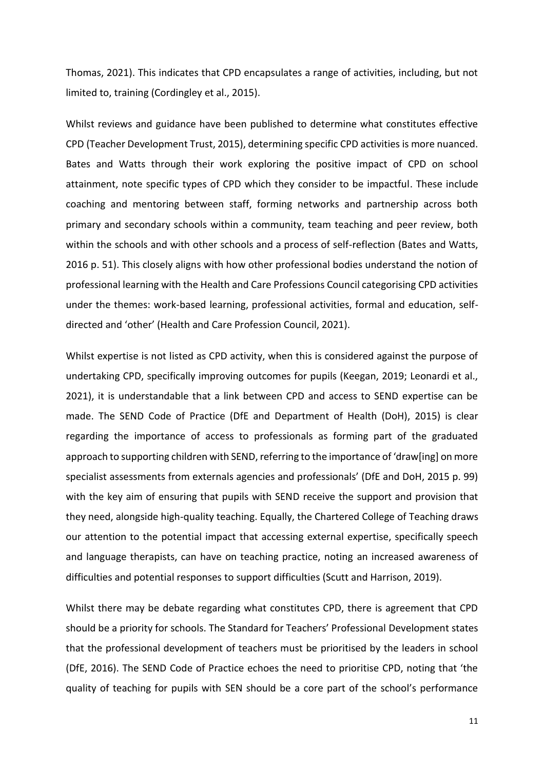Thomas, 2021). This indicates that CPD encapsulates a range of activities, including, but not limited to, training (Cordingley et al., 2015).

Whilst reviews and guidance have been published to determine what constitutes effective CPD (Teacher Development Trust, 2015), determining specific CPD activities is more nuanced. Bates and Watts through their work exploring the positive impact of CPD on school attainment, note specific types of CPD which they consider to be impactful. These include coaching and mentoring between staff, forming networks and partnership across both primary and secondary schools within a community, team teaching and peer review, both within the schools and with other schools and a process of self-reflection (Bates and Watts, 2016 p. 51). This closely aligns with how other professional bodies understand the notion of professional learning with the Health and Care Professions Council categorising CPD activities under the themes: work-based learning, professional activities, formal and education, selfdirected and 'other' (Health and Care Profession Council, 2021).

Whilst expertise is not listed as CPD activity, when this is considered against the purpose of undertaking CPD, specifically improving outcomes for pupils (Keegan, 2019; Leonardi et al., 2021), it is understandable that a link between CPD and access to SEND expertise can be made. The SEND Code of Practice (DfE and Department of Health (DoH), 2015) is clear regarding the importance of access to professionals as forming part of the graduated approach to supporting children with SEND, referring to the importance of 'draw[ing] on more specialist assessments from externals agencies and professionals' (DfE and DoH, 2015 p. 99) with the key aim of ensuring that pupils with SEND receive the support and provision that they need, alongside high-quality teaching. Equally, the Chartered College of Teaching draws our attention to the potential impact that accessing external expertise, specifically speech and language therapists, can have on teaching practice, noting an increased awareness of difficulties and potential responses to support difficulties (Scutt and Harrison, 2019).

Whilst there may be debate regarding what constitutes CPD, there is agreement that CPD should be a priority for schools. The Standard for Teachers' Professional Development states that the professional development of teachers must be prioritised by the leaders in school (DfE, 2016). The SEND Code of Practice echoes the need to prioritise CPD, noting that 'the quality of teaching for pupils with SEN should be a core part of the school's performance

11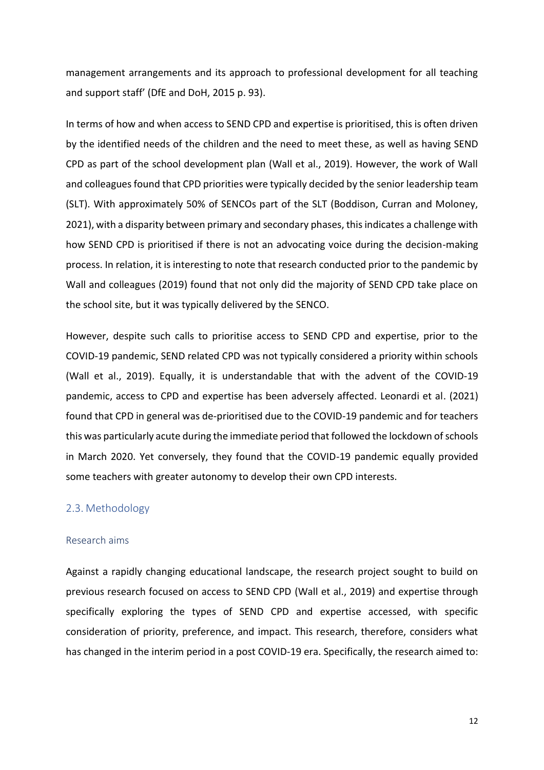management arrangements and its approach to professional development for all teaching and support staff' (DfE and DoH, 2015 p. 93).

In terms of how and when access to SEND CPD and expertise is prioritised, this is often driven by the identified needs of the children and the need to meet these, as well as having SEND CPD as part of the school development plan (Wall et al., 2019). However, the work of Wall and colleagues found that CPD priorities were typically decided by the senior leadership team (SLT). With approximately 50% of SENCOs part of the SLT (Boddison, Curran and Moloney, 2021), with a disparity between primary and secondary phases, this indicates a challenge with how SEND CPD is prioritised if there is not an advocating voice during the decision-making process. In relation, it is interesting to note that research conducted prior to the pandemic by Wall and colleagues (2019) found that not only did the majority of SEND CPD take place on the school site, but it was typically delivered by the SENCO.

However, despite such calls to prioritise access to SEND CPD and expertise, prior to the COVID-19 pandemic, SEND related CPD was not typically considered a priority within schools (Wall et al., 2019). Equally, it is understandable that with the advent of the COVID-19 pandemic, access to CPD and expertise has been adversely affected. Leonardi et al. (2021) found that CPD in general was de-prioritised due to the COVID-19 pandemic and for teachers this was particularly acute during the immediate period that followed the lockdown of schools in March 2020. Yet conversely, they found that the COVID-19 pandemic equally provided some teachers with greater autonomy to develop their own CPD interests.

#### <span id="page-16-0"></span>2.3. Methodology

#### Research aims

Against a rapidly changing educational landscape, the research project sought to build on previous research focused on access to SEND CPD (Wall et al., 2019) and expertise through specifically exploring the types of SEND CPD and expertise accessed, with specific consideration of priority, preference, and impact. This research, therefore, considers what has changed in the interim period in a post COVID-19 era. Specifically, the research aimed to: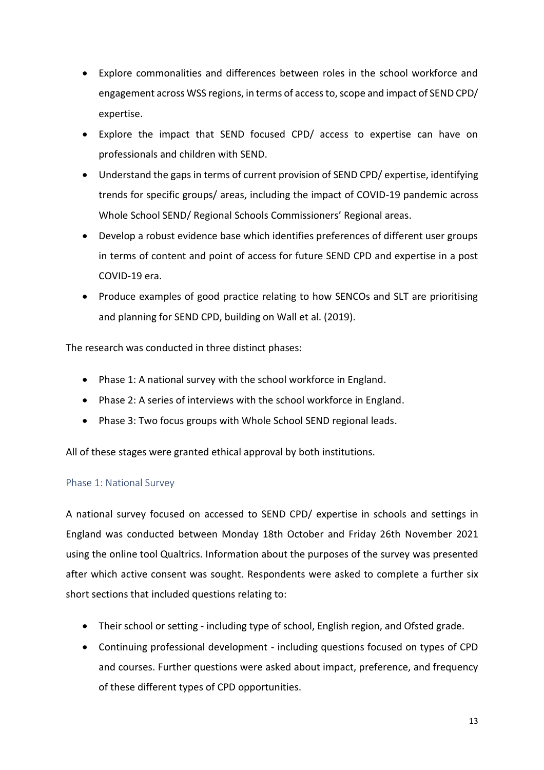- Explore commonalities and differences between roles in the school workforce and engagement across WSS regions, in terms of access to, scope and impact of SEND CPD/ expertise.
- Explore the impact that SEND focused CPD/ access to expertise can have on professionals and children with SEND.
- Understand the gaps in terms of current provision of SEND CPD/ expertise, identifying trends for specific groups/ areas, including the impact of COVID-19 pandemic across Whole School SEND/ Regional Schools Commissioners' Regional areas.
- Develop a robust evidence base which identifies preferences of different user groups in terms of content and point of access for future SEND CPD and expertise in a post COVID-19 era.
- Produce examples of good practice relating to how SENCOs and SLT are prioritising and planning for SEND CPD, building on Wall et al. (2019).

The research was conducted in three distinct phases:

- Phase 1: A national survey with the school workforce in England.
- Phase 2: A series of interviews with the school workforce in England.
- Phase 3: Two focus groups with Whole School SEND regional leads.

All of these stages were granted ethical approval by both institutions.

#### Phase 1: National Survey

A national survey focused on accessed to SEND CPD/ expertise in schools and settings in England was conducted between Monday 18th October and Friday 26th November 2021 using the online tool Qualtrics. Information about the purposes of the survey was presented after which active consent was sought. Respondents were asked to complete a further six short sections that included questions relating to:

- Their school or setting including type of school, English region, and Ofsted grade.
- Continuing professional development including questions focused on types of CPD and courses. Further questions were asked about impact, preference, and frequency of these different types of CPD opportunities.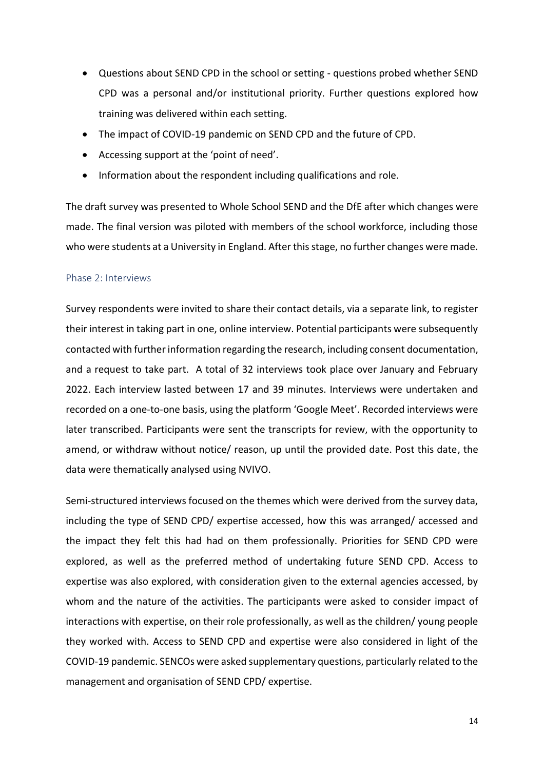- Questions about SEND CPD in the school or setting questions probed whether SEND CPD was a personal and/or institutional priority. Further questions explored how training was delivered within each setting.
- The impact of COVID-19 pandemic on SEND CPD and the future of CPD.
- Accessing support at the 'point of need'.
- Information about the respondent including qualifications and role.

The draft survey was presented to Whole School SEND and the DfE after which changes were made. The final version was piloted with members of the school workforce, including those who were students at a University in England. After this stage, no further changes were made.

#### Phase 2: Interviews

Survey respondents were invited to share their contact details, via a separate link, to register their interest in taking part in one, online interview. Potential participants were subsequently contacted with further information regarding the research, including consent documentation, and a request to take part. A total of 32 interviews took place over January and February 2022. Each interview lasted between 17 and 39 minutes. Interviews were undertaken and recorded on a one-to-one basis, using the platform 'Google Meet'. Recorded interviews were later transcribed. Participants were sent the transcripts for review, with the opportunity to amend, or withdraw without notice/ reason, up until the provided date. Post this date, the data were thematically analysed using NVIVO.

Semi-structured interviews focused on the themes which were derived from the survey data, including the type of SEND CPD/ expertise accessed, how this was arranged/ accessed and the impact they felt this had had on them professionally. Priorities for SEND CPD were explored, as well as the preferred method of undertaking future SEND CPD. Access to expertise was also explored, with consideration given to the external agencies accessed, by whom and the nature of the activities. The participants were asked to consider impact of interactions with expertise, on their role professionally, as well as the children/ young people they worked with. Access to SEND CPD and expertise were also considered in light of the COVID-19 pandemic. SENCOs were asked supplementary questions, particularly related to the management and organisation of SEND CPD/ expertise.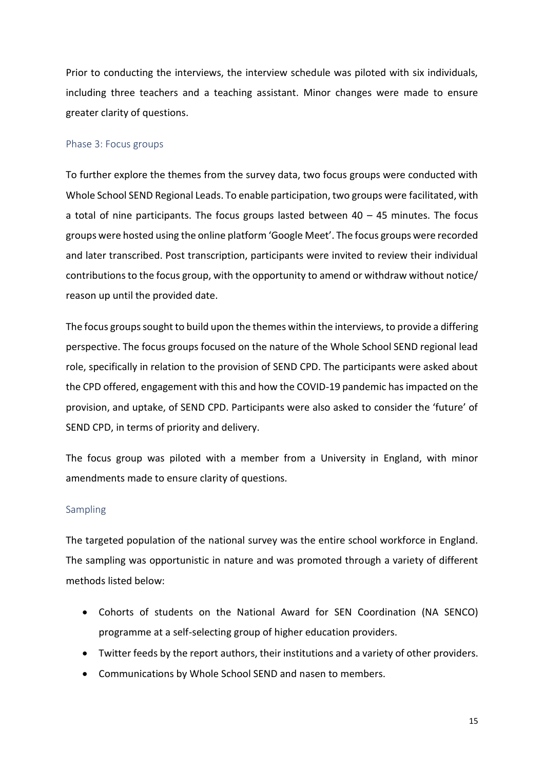Prior to conducting the interviews, the interview schedule was piloted with six individuals, including three teachers and a teaching assistant. Minor changes were made to ensure greater clarity of questions.

#### Phase 3: Focus groups

To further explore the themes from the survey data, two focus groups were conducted with Whole School SEND Regional Leads. To enable participation, two groups were facilitated, with a total of nine participants. The focus groups lasted between  $40 - 45$  minutes. The focus groups were hosted using the online platform 'Google Meet'. The focus groups were recorded and later transcribed. Post transcription, participants were invited to review their individual contributions to the focus group, with the opportunity to amend or withdraw without notice/ reason up until the provided date.

The focus groups sought to build upon the themes within the interviews, to provide a differing perspective. The focus groups focused on the nature of the Whole School SEND regional lead role, specifically in relation to the provision of SEND CPD. The participants were asked about the CPD offered, engagement with this and how the COVID-19 pandemic has impacted on the provision, and uptake, of SEND CPD. Participants were also asked to consider the 'future' of SEND CPD, in terms of priority and delivery.

The focus group was piloted with a member from a University in England, with minor amendments made to ensure clarity of questions.

#### Sampling

The targeted population of the national survey was the entire school workforce in England. The sampling was opportunistic in nature and was promoted through a variety of different methods listed below:

- Cohorts of students on the National Award for SEN Coordination (NA SENCO) programme at a self-selecting group of higher education providers.
- Twitter feeds by the report authors, their institutions and a variety of other providers.
- Communications by Whole School SEND and nasen to members.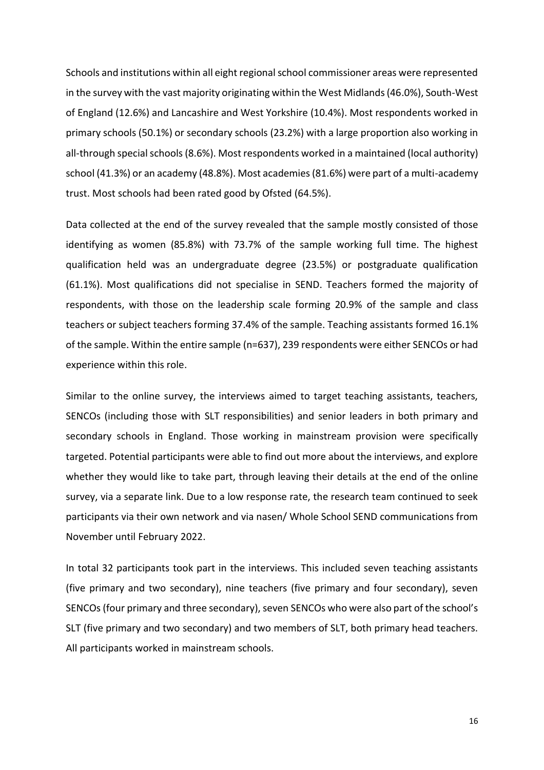Schools and institutions within all eight regional school commissioner areas were represented in the survey with the vast majority originating within the West Midlands (46.0%), South-West of England (12.6%) and Lancashire and West Yorkshire (10.4%). Most respondents worked in primary schools (50.1%) or secondary schools (23.2%) with a large proportion also working in all-through special schools (8.6%). Most respondents worked in a maintained (local authority) school (41.3%) or an academy (48.8%). Most academies (81.6%) were part of a multi-academy trust. Most schools had been rated good by Ofsted (64.5%).

Data collected at the end of the survey revealed that the sample mostly consisted of those identifying as women (85.8%) with 73.7% of the sample working full time. The highest qualification held was an undergraduate degree (23.5%) or postgraduate qualification (61.1%). Most qualifications did not specialise in SEND. Teachers formed the majority of respondents, with those on the leadership scale forming 20.9% of the sample and class teachers or subject teachers forming 37.4% of the sample. Teaching assistants formed 16.1% of the sample. Within the entire sample (n=637), 239 respondents were either SENCOs or had experience within this role.

Similar to the online survey, the interviews aimed to target teaching assistants, teachers, SENCOs (including those with SLT responsibilities) and senior leaders in both primary and secondary schools in England. Those working in mainstream provision were specifically targeted. Potential participants were able to find out more about the interviews, and explore whether they would like to take part, through leaving their details at the end of the online survey, via a separate link. Due to a low response rate, the research team continued to seek participants via their own network and via nasen/ Whole School SEND communications from November until February 2022.

In total 32 participants took part in the interviews. This included seven teaching assistants (five primary and two secondary), nine teachers (five primary and four secondary), seven SENCOs (four primary and three secondary), seven SENCOs who were also part of the school's SLT (five primary and two secondary) and two members of SLT, both primary head teachers. All participants worked in mainstream schools.

16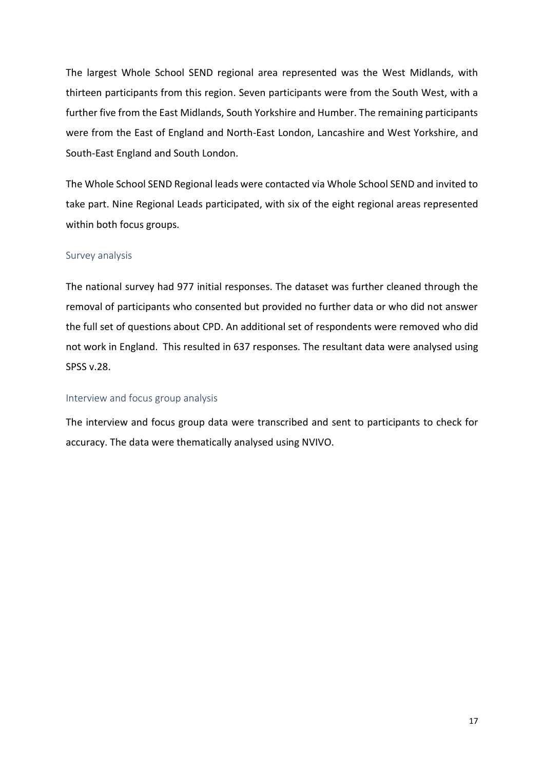The largest Whole School SEND regional area represented was the West Midlands, with thirteen participants from this region. Seven participants were from the South West, with a further five from the East Midlands, South Yorkshire and Humber. The remaining participants were from the East of England and North-East London, Lancashire and West Yorkshire, and South-East England and South London.

The Whole School SEND Regional leads were contacted via Whole School SEND and invited to take part. Nine Regional Leads participated, with six of the eight regional areas represented within both focus groups.

#### Survey analysis

The national survey had 977 initial responses. The dataset was further cleaned through the removal of participants who consented but provided no further data or who did not answer the full set of questions about CPD. An additional set of respondents were removed who did not work in England. This resulted in 637 responses. The resultant data were analysed using SPSS v.28.

#### Interview and focus group analysis

The interview and focus group data were transcribed and sent to participants to check for accuracy. The data were thematically analysed using NVIVO.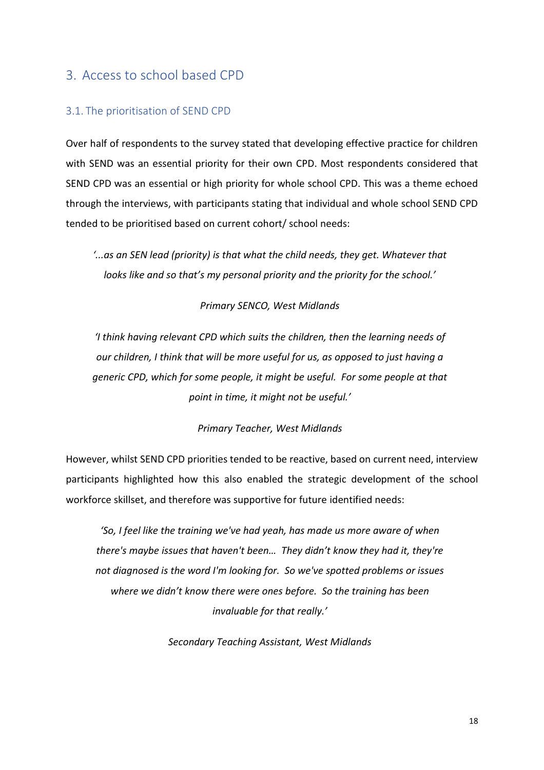### <span id="page-22-0"></span>3. Access to school based CPD

#### <span id="page-22-1"></span>3.1. The prioritisation of SEND CPD

Over half of respondents to the survey stated that developing effective practice for children with SEND was an essential priority for their own CPD. Most respondents considered that SEND CPD was an essential or high priority for whole school CPD. This was a theme echoed through the interviews, with participants stating that individual and whole school SEND CPD tended to be prioritised based on current cohort/ school needs:

*'...as an SEN lead (priority) is that what the child needs, they get. Whatever that looks like and so that's my personal priority and the priority for the school.'*

*Primary SENCO, West Midlands*

*'I think having relevant CPD which suits the children, then the learning needs of our children, I think that will be more useful for us, as opposed to just having a generic CPD, which for some people, it might be useful. For some people at that point in time, it might not be useful.'*

*Primary Teacher, West Midlands*

However, whilst SEND CPD priorities tended to be reactive, based on current need, interview participants highlighted how this also enabled the strategic development of the school workforce skillset, and therefore was supportive for future identified needs:

*'So, I feel like the training we've had yeah, has made us more aware of when there's maybe issues that haven't been… They didn't know they had it, they're not diagnosed is the word I'm looking for. So we've spotted problems or issues where we didn't know there were ones before. So the training has been invaluable for that really.'*

*Secondary Teaching Assistant, West Midlands*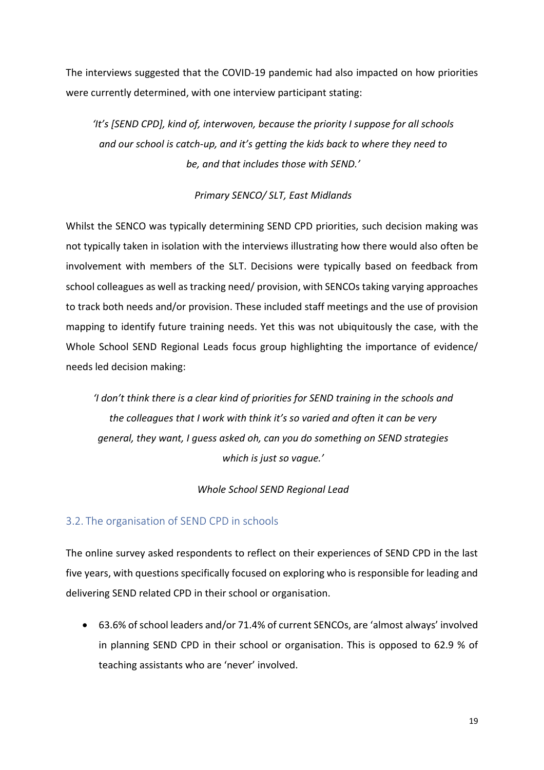The interviews suggested that the COVID-19 pandemic had also impacted on how priorities were currently determined, with one interview participant stating:

*'It's [SEND CPD], kind of, interwoven, because the priority I suppose for all schools and our school is catch-up, and it's getting the kids back to where they need to be, and that includes those with SEND.'*

#### *Primary SENCO/ SLT, East Midlands*

Whilst the SENCO was typically determining SEND CPD priorities, such decision making was not typically taken in isolation with the interviews illustrating how there would also often be involvement with members of the SLT. Decisions were typically based on feedback from school colleagues as well as tracking need/ provision, with SENCOs taking varying approaches to track both needs and/or provision. These included staff meetings and the use of provision mapping to identify future training needs. Yet this was not ubiquitously the case, with the Whole School SEND Regional Leads focus group highlighting the importance of evidence/ needs led decision making:

*'I don't think there is a clear kind of priorities for SEND training in the schools and the colleagues that I work with think it's so varied and often it can be very general, they want, I guess asked oh, can you do something on SEND strategies which is just so vague.'*

#### *Whole School SEND Regional Lead*

#### <span id="page-23-0"></span>3.2. The organisation of SEND CPD in schools

The online survey asked respondents to reflect on their experiences of SEND CPD in the last five years, with questions specifically focused on exploring who is responsible for leading and delivering SEND related CPD in their school or organisation.

• 63.6% of school leaders and/or 71.4% of current SENCOs, are 'almost always' involved in planning SEND CPD in their school or organisation. This is opposed to 62.9 % of teaching assistants who are 'never' involved.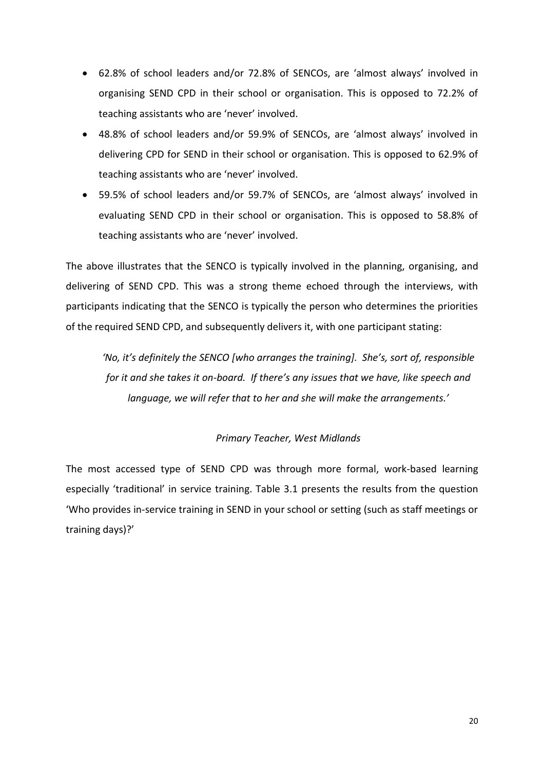- 62.8% of school leaders and/or 72.8% of SENCOs, are 'almost always' involved in organising SEND CPD in their school or organisation. This is opposed to 72.2% of teaching assistants who are 'never' involved.
- 48.8% of school leaders and/or 59.9% of SENCOs, are 'almost always' involved in delivering CPD for SEND in their school or organisation. This is opposed to 62.9% of teaching assistants who are 'never' involved.
- 59.5% of school leaders and/or 59.7% of SENCOs, are 'almost always' involved in evaluating SEND CPD in their school or organisation. This is opposed to 58.8% of teaching assistants who are 'never' involved.

The above illustrates that the SENCO is typically involved in the planning, organising, and delivering of SEND CPD. This was a strong theme echoed through the interviews, with participants indicating that the SENCO is typically the person who determines the priorities of the required SEND CPD, and subsequently delivers it, with one participant stating:

*'No, it's definitely the SENCO [who arranges the training]. She's, sort of, responsible for it and she takes it on-board. If there's any issues that we have, like speech and language, we will refer that to her and she will make the arrangements.'*

#### *Primary Teacher, West Midlands*

The most accessed type of SEND CPD was through more formal, work-based learning especially 'traditional' in service training. Table 3.1 presents the results from the question 'Who provides in-service training in SEND in your school or setting (such as staff meetings or training days)?'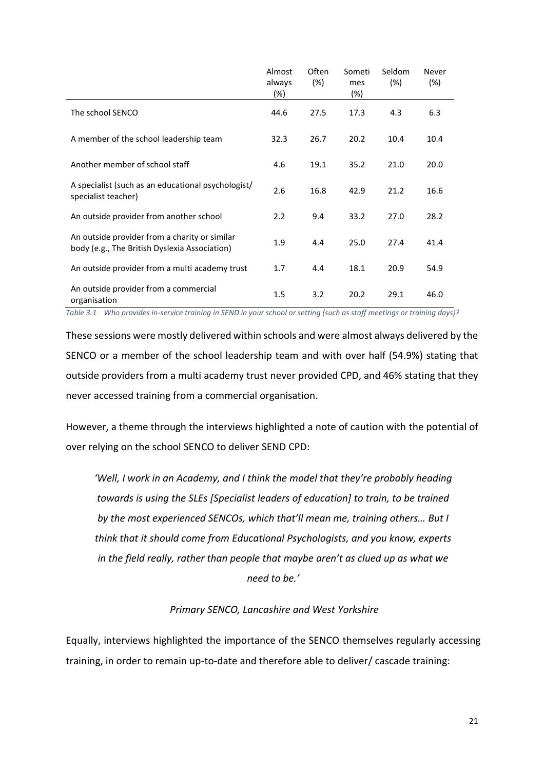|                                                                                                | Almost<br>always<br>$(\%)$ | Often<br>(%) | Someti<br>mes<br>$(\%)$ | Seldom<br>(%) | Never<br>(%) |  |
|------------------------------------------------------------------------------------------------|----------------------------|--------------|-------------------------|---------------|--------------|--|
| The school SENCO                                                                               | 44.6                       | 27.5         | 17.3                    | 4.3           | 6.3          |  |
| A member of the school leadership team                                                         | 32.3                       | 26.7         | 20.2                    | 10.4          | 10.4         |  |
| Another member of school staff                                                                 | 4.6                        | 19.1         | 35.2                    | 21.0          | 20.0         |  |
| A specialist (such as an educational psychologist/<br>specialist teacher)                      | 2.6                        | 16.8         | 42.9                    | 21.2          | 16.6         |  |
| An outside provider from another school                                                        | 2.2                        | 9.4          | 33.2                    | 27.0          | 28.2         |  |
| An outside provider from a charity or similar<br>body (e.g., The British Dyslexia Association) | 1.9                        | 4.4          | 25.0                    | 27.4          | 41.4         |  |
| An outside provider from a multi academy trust                                                 | 1.7                        | 4.4          | 18.1                    | 20.9          | 54.9         |  |
| An outside provider from a commercial<br>organisation                                          | 1.5                        | 3.2          | 20.2                    | 29.1          | 46.0         |  |

<span id="page-25-0"></span>*Table 3.1 Who provides in-service training in SEND in your school or setting (such as staff meetings or training days)?*

These sessions were mostly delivered within schools and were almost always delivered by the SENCO or a member of the school leadership team and with over half (54.9%) stating that outside providers from a multi academy trust never provided CPD, and 46% stating that they never accessed training from a commercial organisation.

However, a theme through the interviews highlighted a note of caution with the potential of over relying on the school SENCO to deliver SEND CPD:

*'Well, I work in an Academy, and I think the model that they're probably heading towards is using the SLEs [Specialist leaders of education] to train, to be trained by the most experienced SENCOs, which that'll mean me, training others… But I think that it should come from Educational Psychologists, and you know, experts in the field really, rather than people that maybe aren't as clued up as what we need to be.'*

#### *Primary SENCO, Lancashire and West Yorkshire*

Equally, interviews highlighted the importance of the SENCO themselves regularly accessing training, in order to remain up-to-date and therefore able to deliver/ cascade training: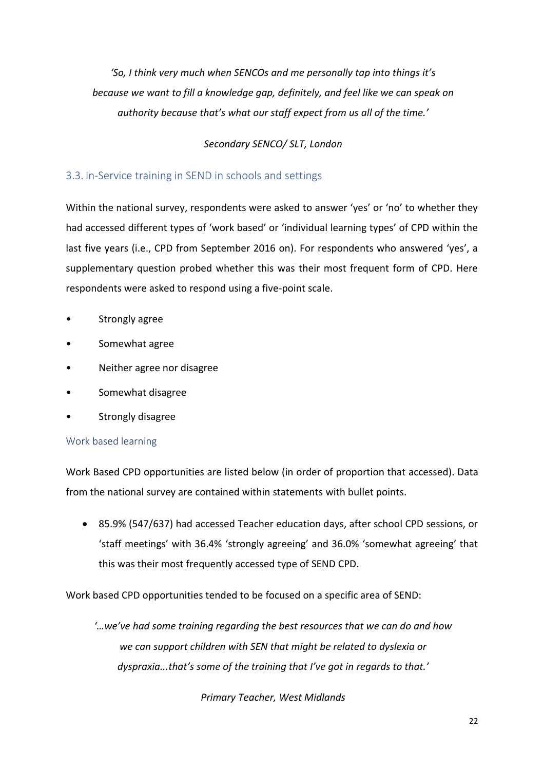*'So, I think very much when SENCOs and me personally tap into things it's because we want to fill a knowledge gap, definitely, and feel like we can speak on authority because that's what our staff expect from us all of the time.'* 

#### *Secondary SENCO/ SLT, London*

#### <span id="page-26-0"></span>3.3. In-Service training in SEND in schools and settings

Within the national survey, respondents were asked to answer 'yes' or 'no' to whether they had accessed different types of 'work based' or 'individual learning types' of CPD within the last five years (i.e., CPD from September 2016 on). For respondents who answered 'yes', a supplementary question probed whether this was their most frequent form of CPD. Here respondents were asked to respond using a five-point scale.

- Strongly agree
- Somewhat agree
- Neither agree nor disagree
- Somewhat disagree
- Strongly disagree

#### Work based learning

Work Based CPD opportunities are listed below (in order of proportion that accessed). Data from the national survey are contained within statements with bullet points.

• 85.9% (547/637) had accessed Teacher education days, after school CPD sessions, or 'staff meetings' with 36.4% 'strongly agreeing' and 36.0% 'somewhat agreeing' that this was their most frequently accessed type of SEND CPD.

Work based CPD opportunities tended to be focused on a specific area of SEND:

*'…we've had some training regarding the best resources that we can do and how we can support children with SEN that might be related to dyslexia or dyspraxia...that's some of the training that I've got in regards to that.'*

*Primary Teacher, West Midlands*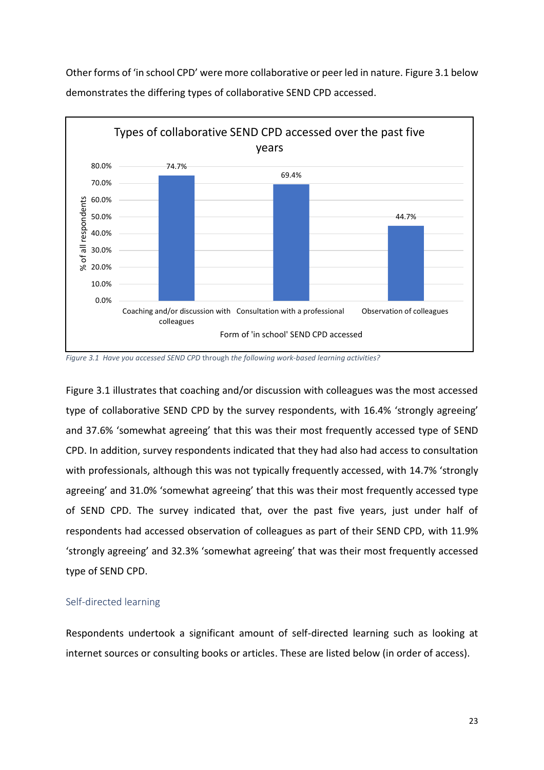Other forms of 'in school CPD' were more collaborative or peer led in nature. Figure 3.1 below demonstrates the differing types of collaborative SEND CPD accessed.



<span id="page-27-0"></span>*Figure 3.1 Have you accessed SEND CPD* through *the following work-based learning activities?*

Figure 3.1 illustrates that coaching and/or discussion with colleagues was the most accessed type of collaborative SEND CPD by the survey respondents, with 16.4% 'strongly agreeing' and 37.6% 'somewhat agreeing' that this was their most frequently accessed type of SEND CPD. In addition, survey respondents indicated that they had also had access to consultation with professionals, although this was not typically frequently accessed, with 14.7% 'strongly agreeing' and 31.0% 'somewhat agreeing' that this was their most frequently accessed type of SEND CPD. The survey indicated that, over the past five years, just under half of respondents had accessed observation of colleagues as part of their SEND CPD, with 11.9% 'strongly agreeing' and 32.3% 'somewhat agreeing' that was their most frequently accessed type of SEND CPD.

#### Self-directed learning

Respondents undertook a significant amount of self-directed learning such as looking at internet sources or consulting books or articles. These are listed below (in order of access).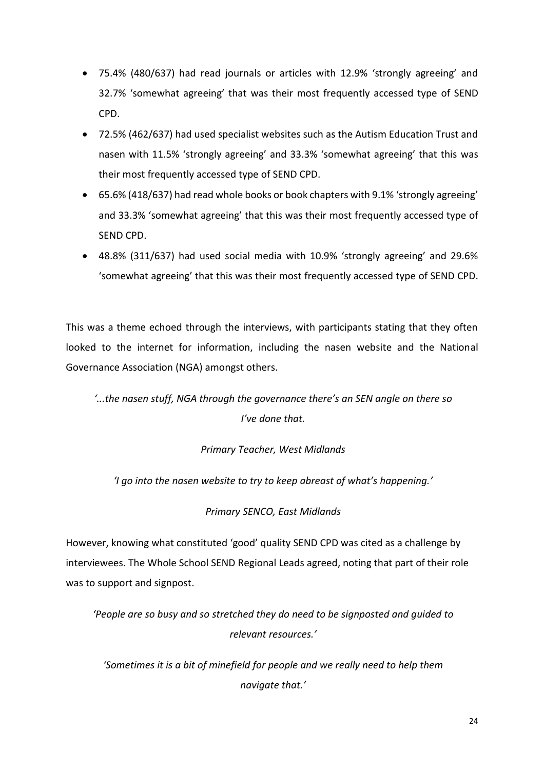- 75.4% (480/637) had read journals or articles with 12.9% 'strongly agreeing' and 32.7% 'somewhat agreeing' that was their most frequently accessed type of SEND CPD.
- 72.5% (462/637) had used specialist websites such as the Autism Education Trust and nasen with 11.5% 'strongly agreeing' and 33.3% 'somewhat agreeing' that this was their most frequently accessed type of SEND CPD.
- 65.6% (418/637) had read whole books or book chapters with 9.1% 'strongly agreeing' and 33.3% 'somewhat agreeing' that this was their most frequently accessed type of SEND CPD.
- 48.8% (311/637) had used social media with 10.9% 'strongly agreeing' and 29.6% 'somewhat agreeing' that this was their most frequently accessed type of SEND CPD.

This was a theme echoed through the interviews, with participants stating that they often looked to the internet for information, including the nasen website and the National Governance Association (NGA) amongst others.

*'...the nasen stuff, NGA through the governance there's an SEN angle on there so I've done that.*

#### *Primary Teacher, West Midlands*

*'I go into the nasen website to try to keep abreast of what's happening.'*

*Primary SENCO, East Midlands*

However, knowing what constituted 'good' quality SEND CPD was cited as a challenge by interviewees. The Whole School SEND Regional Leads agreed, noting that part of their role was to support and signpost.

*'People are so busy and so stretched they do need to be signposted and guided to relevant resources.'*

*'Sometimes it is a bit of minefield for people and we really need to help them navigate that.'*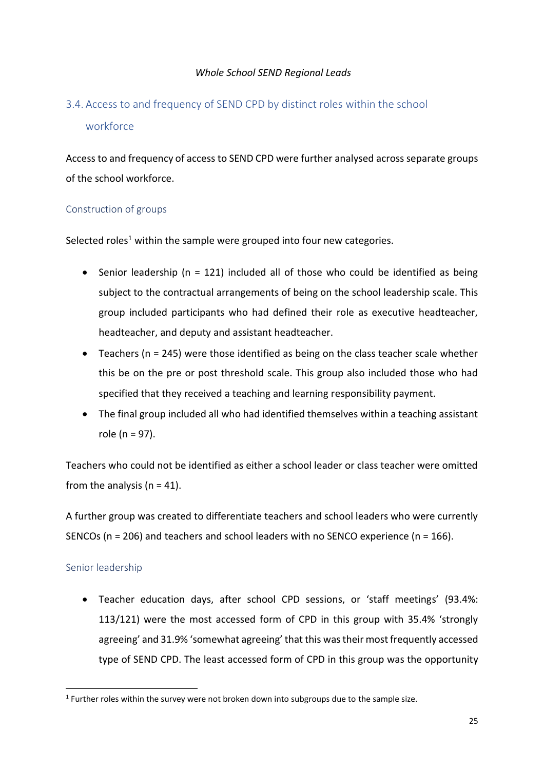# <span id="page-29-0"></span>3.4. Access to and frequency of SEND CPD by distinct roles within the school workforce

Access to and frequency of access to SEND CPD were further analysed across separate groups of the school workforce.

#### Construction of groups

Selected roles<sup>1</sup> within the sample were grouped into four new categories.

- Senior leadership (n = 121) included all of those who could be identified as being subject to the contractual arrangements of being on the school leadership scale. This group included participants who had defined their role as executive headteacher, headteacher, and deputy and assistant headteacher.
- Teachers ( $n = 245$ ) were those identified as being on the class teacher scale whether this be on the pre or post threshold scale. This group also included those who had specified that they received a teaching and learning responsibility payment.
- The final group included all who had identified themselves within a teaching assistant role (n = 97).

Teachers who could not be identified as either a school leader or class teacher were omitted from the analysis ( $n = 41$ ).

A further group was created to differentiate teachers and school leaders who were currently SENCOs (n = 206) and teachers and school leaders with no SENCO experience (n = 166).

#### Senior leadership

• Teacher education days, after school CPD sessions, or 'staff meetings' (93.4%: 113/121) were the most accessed form of CPD in this group with 35.4% 'strongly agreeing' and 31.9% 'somewhat agreeing' that this was their most frequently accessed type of SEND CPD. The least accessed form of CPD in this group was the opportunity

 $<sup>1</sup>$  Further roles within the survey were not broken down into subgroups due to the sample size.</sup>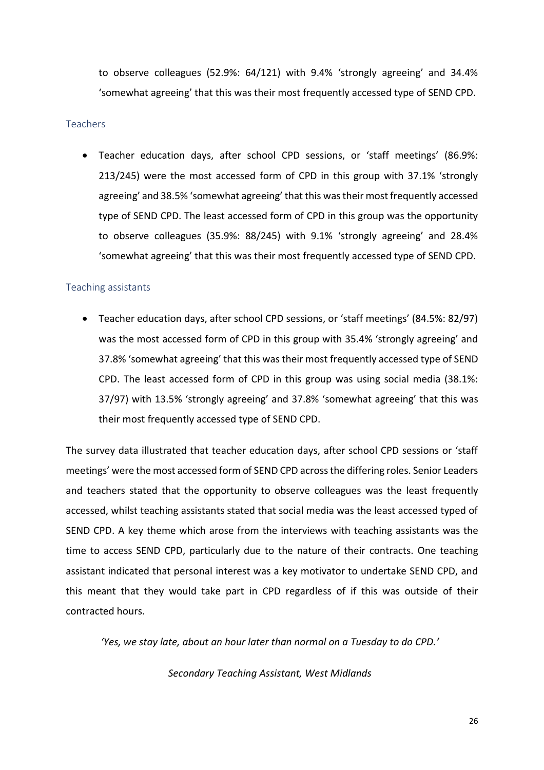to observe colleagues (52.9%: 64/121) with 9.4% 'strongly agreeing' and 34.4% 'somewhat agreeing' that this was their most frequently accessed type of SEND CPD.

#### **Teachers**

• Teacher education days, after school CPD sessions, or 'staff meetings' (86.9%: 213/245) were the most accessed form of CPD in this group with 37.1% 'strongly agreeing' and 38.5% 'somewhat agreeing' that this was their most frequently accessed type of SEND CPD. The least accessed form of CPD in this group was the opportunity to observe colleagues (35.9%: 88/245) with 9.1% 'strongly agreeing' and 28.4% 'somewhat agreeing' that this was their most frequently accessed type of SEND CPD.

#### Teaching assistants

• Teacher education days, after school CPD sessions, or 'staff meetings' (84.5%: 82/97) was the most accessed form of CPD in this group with 35.4% 'strongly agreeing' and 37.8% 'somewhat agreeing' that this was their most frequently accessed type of SEND CPD. The least accessed form of CPD in this group was using social media (38.1%: 37/97) with 13.5% 'strongly agreeing' and 37.8% 'somewhat agreeing' that this was their most frequently accessed type of SEND CPD.

The survey data illustrated that teacher education days, after school CPD sessions or 'staff meetings' were the most accessed form of SEND CPD across the differing roles. Senior Leaders and teachers stated that the opportunity to observe colleagues was the least frequently accessed, whilst teaching assistants stated that social media was the least accessed typed of SEND CPD. A key theme which arose from the interviews with teaching assistants was the time to access SEND CPD, particularly due to the nature of their contracts. One teaching assistant indicated that personal interest was a key motivator to undertake SEND CPD, and this meant that they would take part in CPD regardless of if this was outside of their contracted hours.

*'Yes, we stay late, about an hour later than normal on a Tuesday to do CPD.'*

#### *Secondary Teaching Assistant, West Midlands*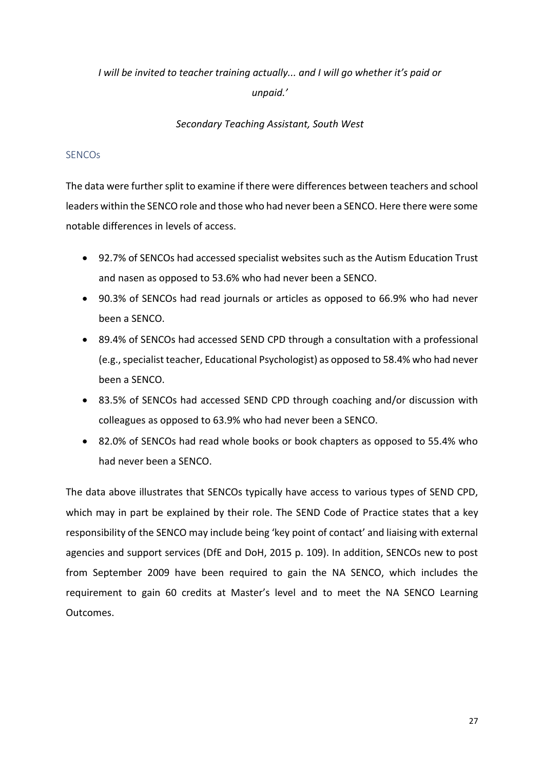# *I will be invited to teacher training actually... and I will go whether it's paid or unpaid.'*

#### *Secondary Teaching Assistant, South West*

#### **SENCOs**

The data were further split to examine if there were differences between teachers and school leaders within the SENCO role and those who had never been a SENCO. Here there were some notable differences in levels of access.

- 92.7% of SENCOs had accessed specialist websites such as the Autism Education Trust and nasen as opposed to 53.6% who had never been a SENCO.
- 90.3% of SENCOs had read journals or articles as opposed to 66.9% who had never been a SENCO.
- 89.4% of SENCOs had accessed SEND CPD through a consultation with a professional (e.g., specialist teacher, Educational Psychologist) as opposed to 58.4% who had never been a SENCO.
- 83.5% of SENCOs had accessed SEND CPD through coaching and/or discussion with colleagues as opposed to 63.9% who had never been a SENCO.
- 82.0% of SENCOs had read whole books or book chapters as opposed to 55.4% who had never been a SENCO.

The data above illustrates that SENCOs typically have access to various types of SEND CPD, which may in part be explained by their role. The SEND Code of Practice states that a key responsibility of the SENCO may include being 'key point of contact' and liaising with external agencies and support services (DfE and DoH, 2015 p. 109). In addition, SENCOs new to post from September 2009 have been required to gain the NA SENCO, which includes the requirement to gain 60 credits at Master's level and to meet the NA SENCO Learning Outcomes.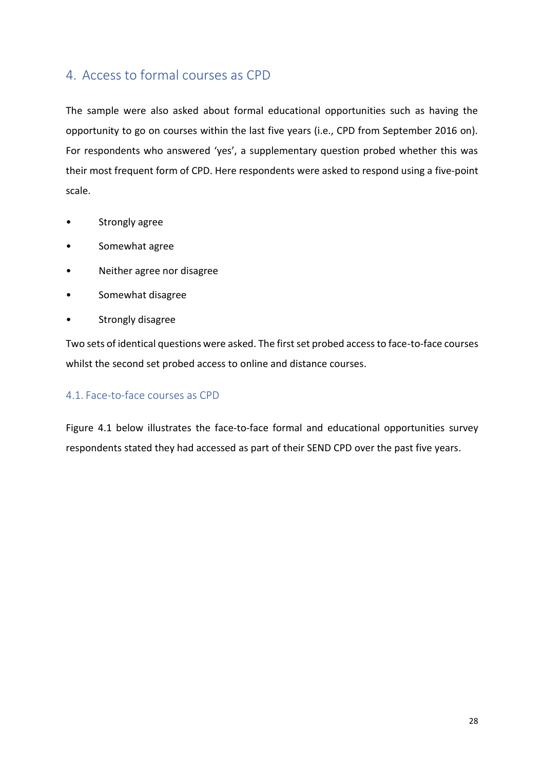## <span id="page-32-0"></span>4. Access to formal courses as CPD

The sample were also asked about formal educational opportunities such as having the opportunity to go on courses within the last five years (i.e., CPD from September 2016 on). For respondents who answered 'yes', a supplementary question probed whether this was their most frequent form of CPD. Here respondents were asked to respond using a five-point scale.

- Strongly agree
- Somewhat agree
- Neither agree nor disagree
- Somewhat disagree
- Strongly disagree

Two sets of identical questions were asked. The first set probed access to face-to-face courses whilst the second set probed access to online and distance courses.

#### <span id="page-32-1"></span>4.1. Face-to-face courses as CPD

Figure 4.1 below illustrates the face-to-face formal and educational opportunities survey respondents stated they had accessed as part of their SEND CPD over the past five years.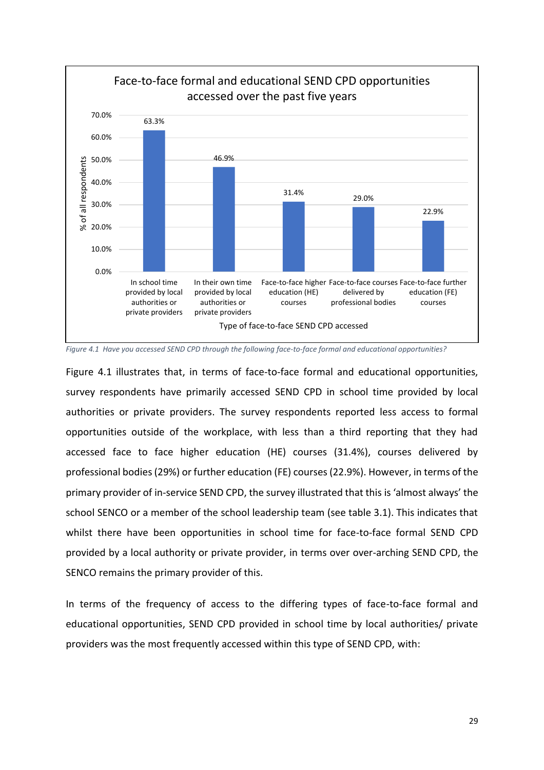

<span id="page-33-0"></span>*Figure 4.1 Have you accessed SEND CPD through the following face-to-face formal and educational opportunities?*

Figure 4.1 illustrates that, in terms of face-to-face formal and educational opportunities, survey respondents have primarily accessed SEND CPD in school time provided by local authorities or private providers. The survey respondents reported less access to formal opportunities outside of the workplace, with less than a third reporting that they had accessed face to face higher education (HE) courses (31.4%), courses delivered by professional bodies (29%) or further education (FE) courses (22.9%). However, in terms of the primary provider of in-service SEND CPD, the survey illustrated that this is 'almost always' the school SENCO or a member of the school leadership team (see table 3.1). This indicates that whilst there have been opportunities in school time for face-to-face formal SEND CPD provided by a local authority or private provider, in terms over over-arching SEND CPD, the SENCO remains the primary provider of this.

In terms of the frequency of access to the differing types of face-to-face formal and educational opportunities, SEND CPD provided in school time by local authorities/ private providers was the most frequently accessed within this type of SEND CPD, with: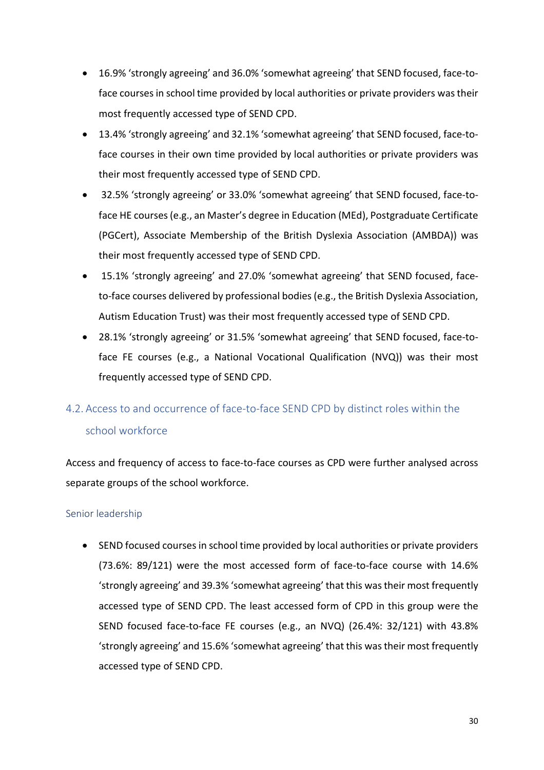- 16.9% 'strongly agreeing' and 36.0% 'somewhat agreeing' that SEND focused, face-toface courses in school time provided by local authorities or private providers was their most frequently accessed type of SEND CPD.
- 13.4% 'strongly agreeing' and 32.1% 'somewhat agreeing' that SEND focused, face-toface courses in their own time provided by local authorities or private providers was their most frequently accessed type of SEND CPD.
- 32.5% 'strongly agreeing' or 33.0% 'somewhat agreeing' that SEND focused, face-toface HE courses (e.g., an Master's degree in Education (MEd), Postgraduate Certificate (PGCert), Associate Membership of the British Dyslexia Association (AMBDA)) was their most frequently accessed type of SEND CPD.
- 15.1% 'strongly agreeing' and 27.0% 'somewhat agreeing' that SEND focused, faceto-face courses delivered by professional bodies (e.g., the British Dyslexia Association, Autism Education Trust) was their most frequently accessed type of SEND CPD.
- 28.1% 'strongly agreeing' or 31.5% 'somewhat agreeing' that SEND focused, face-toface FE courses (e.g., a National Vocational Qualification (NVQ)) was their most frequently accessed type of SEND CPD.

# <span id="page-34-0"></span>4.2. Access to and occurrence of face-to-face SEND CPD by distinct roles within the school workforce

Access and frequency of access to face-to-face courses as CPD were further analysed across separate groups of the school workforce.

#### Senior leadership

• SEND focused courses in school time provided by local authorities or private providers (73.6%: 89/121) were the most accessed form of face-to-face course with 14.6% 'strongly agreeing' and 39.3% 'somewhat agreeing' that this was their most frequently accessed type of SEND CPD. The least accessed form of CPD in this group were the SEND focused face-to-face FE courses (e.g., an NVQ) (26.4%: 32/121) with 43.8% 'strongly agreeing' and 15.6% 'somewhat agreeing' that this was their most frequently accessed type of SEND CPD.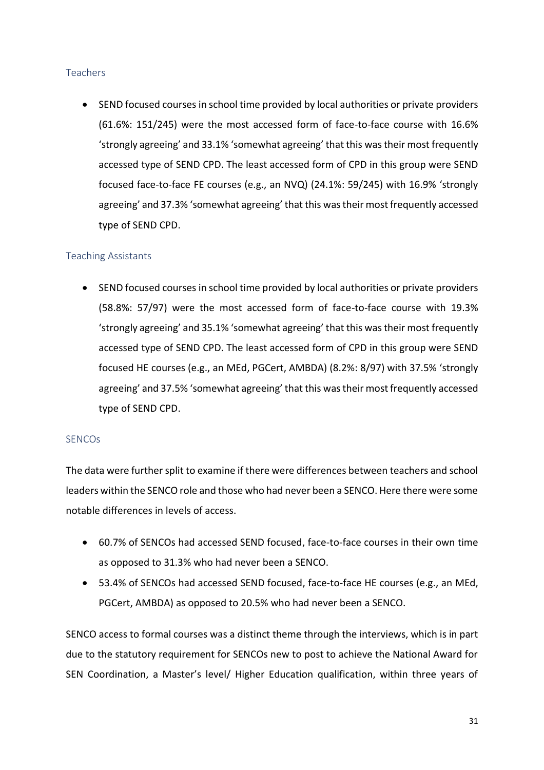#### Teachers

• SEND focused courses in school time provided by local authorities or private providers (61.6%: 151/245) were the most accessed form of face-to-face course with 16.6% 'strongly agreeing' and 33.1% 'somewhat agreeing' that this was their most frequently accessed type of SEND CPD. The least accessed form of CPD in this group were SEND focused face-to-face FE courses (e.g., an NVQ) (24.1%: 59/245) with 16.9% 'strongly agreeing' and 37.3% 'somewhat agreeing' that this was their most frequently accessed type of SEND CPD.

#### Teaching Assistants

• SEND focused courses in school time provided by local authorities or private providers (58.8%: 57/97) were the most accessed form of face-to-face course with 19.3% 'strongly agreeing' and 35.1% 'somewhat agreeing' that this was their most frequently accessed type of SEND CPD. The least accessed form of CPD in this group were SEND focused HE courses (e.g., an MEd, PGCert, AMBDA) (8.2%: 8/97) with 37.5% 'strongly agreeing' and 37.5% 'somewhat agreeing' that this was their most frequently accessed type of SEND CPD.

#### **SENCOs**

The data were further split to examine if there were differences between teachers and school leaders within the SENCO role and those who had never been a SENCO. Here there were some notable differences in levels of access.

- 60.7% of SENCOs had accessed SEND focused, face-to-face courses in their own time as opposed to 31.3% who had never been a SENCO.
- 53.4% of SENCOs had accessed SEND focused, face-to-face HE courses (e.g., an MEd, PGCert, AMBDA) as opposed to 20.5% who had never been a SENCO.

SENCO access to formal courses was a distinct theme through the interviews, which is in part due to the statutory requirement for SENCOs new to post to achieve the National Award for SEN Coordination, a Master's level/ Higher Education qualification, within three years of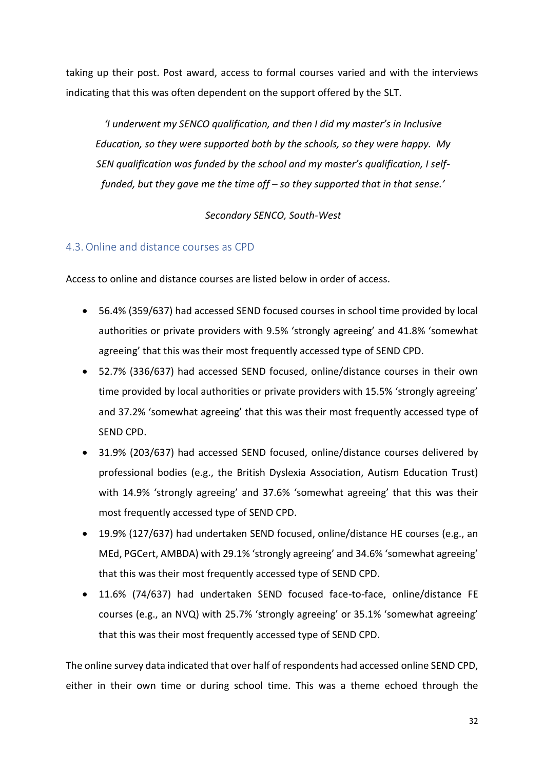taking up their post. Post award, access to formal courses varied and with the interviews indicating that this was often dependent on the support offered by the SLT.

*'I underwent my SENCO qualification, and then I did my master's in Inclusive Education, so they were supported both by the schools, so they were happy. My SEN qualification was funded by the school and my master's qualification, I selffunded, but they gave me the time off – so they supported that in that sense.'*

*Secondary SENCO, South-West*

#### <span id="page-36-0"></span>4.3.Online and distance courses as CPD

Access to online and distance courses are listed below in order of access.

- 56.4% (359/637) had accessed SEND focused courses in school time provided by local authorities or private providers with 9.5% 'strongly agreeing' and 41.8% 'somewhat agreeing' that this was their most frequently accessed type of SEND CPD.
- 52.7% (336/637) had accessed SEND focused, online/distance courses in their own time provided by local authorities or private providers with 15.5% 'strongly agreeing' and 37.2% 'somewhat agreeing' that this was their most frequently accessed type of SEND CPD.
- 31.9% (203/637) had accessed SEND focused, online/distance courses delivered by professional bodies (e.g., the British Dyslexia Association, Autism Education Trust) with 14.9% 'strongly agreeing' and 37.6% 'somewhat agreeing' that this was their most frequently accessed type of SEND CPD.
- 19.9% (127/637) had undertaken SEND focused, online/distance HE courses (e.g., an MEd, PGCert, AMBDA) with 29.1% 'strongly agreeing' and 34.6% 'somewhat agreeing' that this was their most frequently accessed type of SEND CPD.
- 11.6% (74/637) had undertaken SEND focused face-to-face, online/distance FE courses (e.g., an NVQ) with 25.7% 'strongly agreeing' or 35.1% 'somewhat agreeing' that this was their most frequently accessed type of SEND CPD.

The online survey data indicated that over half of respondents had accessed online SEND CPD, either in their own time or during school time. This was a theme echoed through the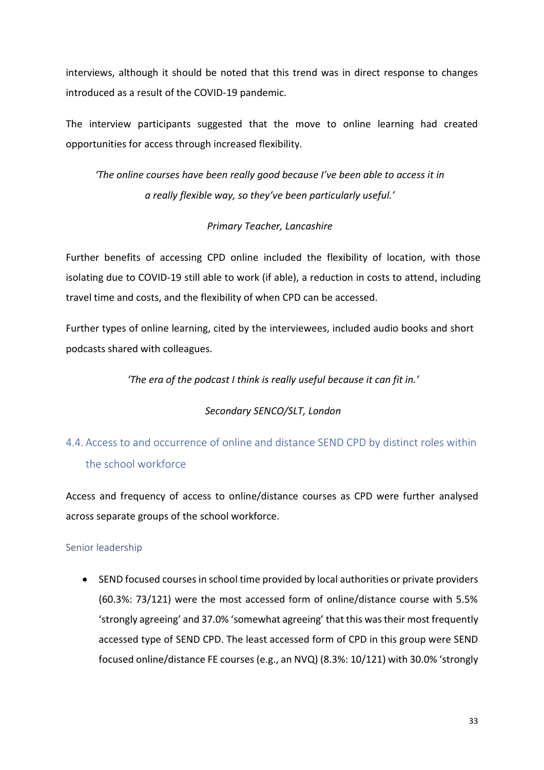interviews, although it should be noted that this trend was in direct response to changes introduced as a result of the COVID-19 pandemic.

The interview participants suggested that the move to online learning had created opportunities for access through increased flexibility.

*'The online courses have been really good because I've been able to access it in a really flexible way, so they've been particularly useful.'*

#### *Primary Teacher, Lancashire*

Further benefits of accessing CPD online included the flexibility of location, with those isolating due to COVID-19 still able to work (if able), a reduction in costs to attend, including travel time and costs, and the flexibility of when CPD can be accessed.

Further types of online learning, cited by the interviewees, included audio books and short podcasts shared with colleagues.

*'The era of the podcast I think is really useful because it can fit in.'*

#### *Secondary SENCO/SLT, London*

# <span id="page-37-0"></span>4.4. Access to and occurrence of online and distance SEND CPD by distinct roles within the school workforce

Access and frequency of access to online/distance courses as CPD were further analysed across separate groups of the school workforce.

#### Senior leadership

• SEND focused courses in school time provided by local authorities or private providers (60.3%: 73/121) were the most accessed form of online/distance course with 5.5% 'strongly agreeing' and 37.0% 'somewhat agreeing' that this was their most frequently accessed type of SEND CPD. The least accessed form of CPD in this group were SEND focused online/distance FE courses (e.g., an NVQ) (8.3%: 10/121) with 30.0% 'strongly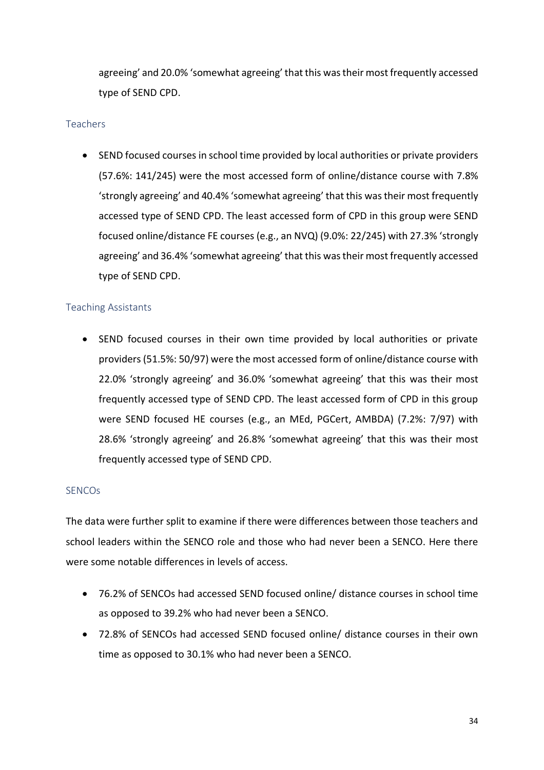agreeing' and 20.0% 'somewhat agreeing' that this was their most frequently accessed type of SEND CPD.

#### Teachers

• SEND focused courses in school time provided by local authorities or private providers (57.6%: 141/245) were the most accessed form of online/distance course with 7.8% 'strongly agreeing' and 40.4% 'somewhat agreeing' that this was their most frequently accessed type of SEND CPD. The least accessed form of CPD in this group were SEND focused online/distance FE courses (e.g., an NVQ) (9.0%: 22/245) with 27.3% 'strongly agreeing' and 36.4% 'somewhat agreeing' that this was their most frequently accessed type of SEND CPD.

#### Teaching Assistants

• SEND focused courses in their own time provided by local authorities or private providers (51.5%: 50/97) were the most accessed form of online/distance course with 22.0% 'strongly agreeing' and 36.0% 'somewhat agreeing' that this was their most frequently accessed type of SEND CPD. The least accessed form of CPD in this group were SEND focused HE courses (e.g., an MEd, PGCert, AMBDA) (7.2%: 7/97) with 28.6% 'strongly agreeing' and 26.8% 'somewhat agreeing' that this was their most frequently accessed type of SEND CPD.

#### **SENCOs**

The data were further split to examine if there were differences between those teachers and school leaders within the SENCO role and those who had never been a SENCO. Here there were some notable differences in levels of access.

- 76.2% of SENCOs had accessed SEND focused online/ distance courses in school time as opposed to 39.2% who had never been a SENCO.
- 72.8% of SENCOs had accessed SEND focused online/ distance courses in their own time as opposed to 30.1% who had never been a SENCO.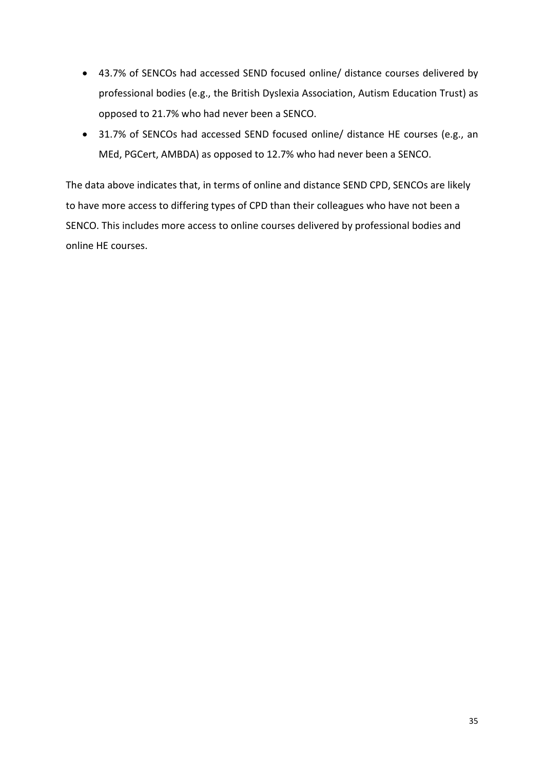- 43.7% of SENCOs had accessed SEND focused online/ distance courses delivered by professional bodies (e.g., the British Dyslexia Association, Autism Education Trust) as opposed to 21.7% who had never been a SENCO.
- 31.7% of SENCOs had accessed SEND focused online/ distance HE courses (e.g., an MEd, PGCert, AMBDA) as opposed to 12.7% who had never been a SENCO.

The data above indicates that, in terms of online and distance SEND CPD, SENCOs are likely to have more access to differing types of CPD than their colleagues who have not been a SENCO. This includes more access to online courses delivered by professional bodies and online HE courses.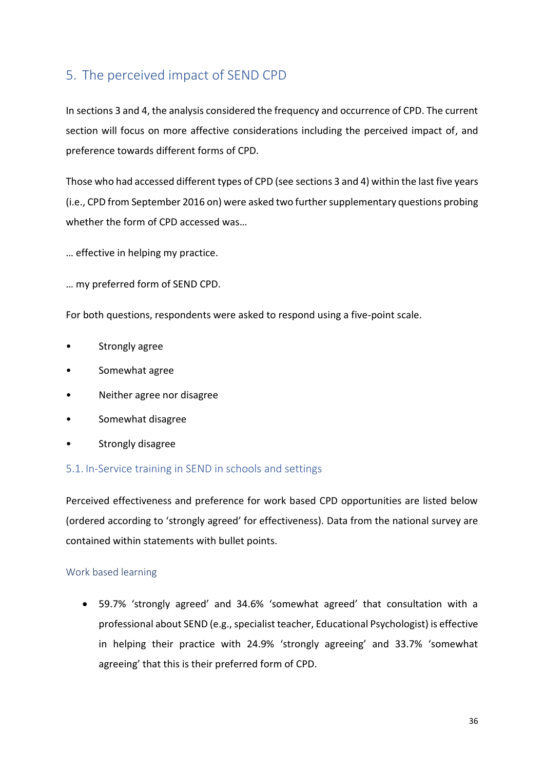# <span id="page-40-0"></span>5. The perceived impact of SEND CPD

In sections 3 and 4, the analysis considered the frequency and occurrence of CPD. The current section will focus on more affective considerations including the perceived impact of, and preference towards different forms of CPD.

Those who had accessed different types of CPD (see sections 3 and 4) within the last five years (i.e., CPD from September 2016 on) were asked two further supplementary questions probing whether the form of CPD accessed was…

- … effective in helping my practice.
- … my preferred form of SEND CPD.

For both questions, respondents were asked to respond using a five-point scale.

- Strongly agree
- Somewhat agree
- Neither agree nor disagree
- Somewhat disagree
- Strongly disagree

#### <span id="page-40-1"></span>5.1. In-Service training in SEND in schools and settings

Perceived effectiveness and preference for work based CPD opportunities are listed below (ordered according to 'strongly agreed' for effectiveness). Data from the national survey are contained within statements with bullet points.

#### Work based learning

• 59.7% 'strongly agreed' and 34.6% 'somewhat agreed' that consultation with a professional about SEND (e.g., specialist teacher, Educational Psychologist) is effective in helping their practice with 24.9% 'strongly agreeing' and 33.7% 'somewhat agreeing' that this is their preferred form of CPD.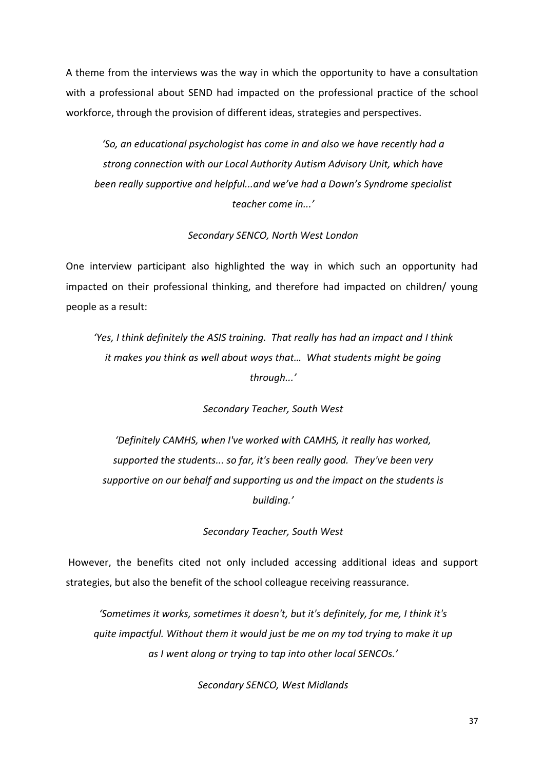A theme from the interviews was the way in which the opportunity to have a consultation with a professional about SEND had impacted on the professional practice of the school workforce, through the provision of different ideas, strategies and perspectives.

*'So, an educational psychologist has come in and also we have recently had a strong connection with our Local Authority Autism Advisory Unit, which have been really supportive and helpful...and we've had a Down's Syndrome specialist teacher come in...'*

#### *Secondary SENCO, North West London*

One interview participant also highlighted the way in which such an opportunity had impacted on their professional thinking, and therefore had impacted on children/ young people as a result:

*'Yes, I think definitely the ASIS training. That really has had an impact and I think it makes you think as well about ways that… What students might be going through...'*

*Secondary Teacher, South West*

*'Definitely CAMHS, when I've worked with CAMHS, it really has worked, supported the students... so far, it's been really good. They've been very supportive on our behalf and supporting us and the impact on the students is building.'*

*Secondary Teacher, South West*

However, the benefits cited not only included accessing additional ideas and support strategies, but also the benefit of the school colleague receiving reassurance.

*'Sometimes it works, sometimes it doesn't, but it's definitely, for me, I think it's quite impactful. Without them it would just be me on my tod trying to make it up as I went along or trying to tap into other local SENCOs.'*

*Secondary SENCO, West Midlands*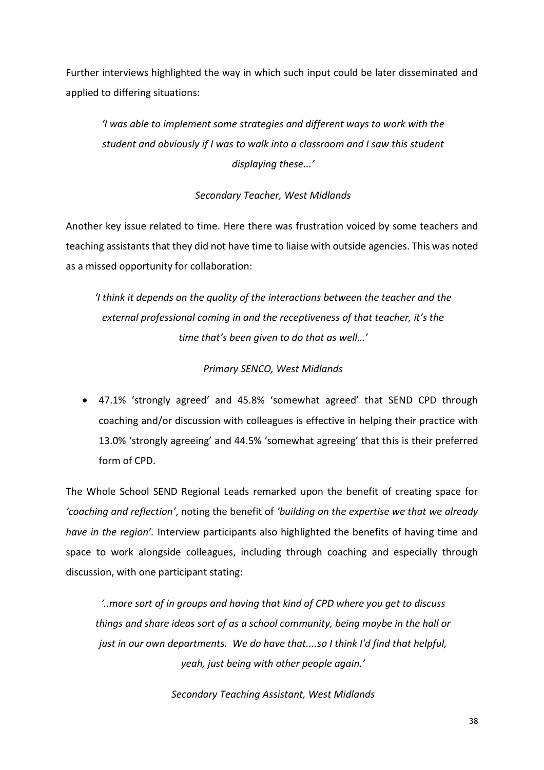Further interviews highlighted the way in which such input could be later disseminated and applied to differing situations:

*'I was able to implement some strategies and different ways to work with the student and obviously if I was to walk into a classroom and I saw this student displaying these...'*

#### *Secondary Teacher, West Midlands*

Another key issue related to time. Here there was frustration voiced by some teachers and teaching assistants that they did not have time to liaise with outside agencies. This was noted as a missed opportunity for collaboration:

*'I think it depends on the quality of the interactions between the teacher and the external professional coming in and the receptiveness of that teacher, it's the time that's been given to do that as well…'*

#### *Primary SENCO, West Midlands*

• 47.1% 'strongly agreed' and 45.8% 'somewhat agreed' that SEND CPD through coaching and/or discussion with colleagues is effective in helping their practice with 13.0% 'strongly agreeing' and 44.5% 'somewhat agreeing' that this is their preferred form of CPD.

The Whole School SEND Regional Leads remarked upon the benefit of creating space for *'coaching and reflection'*, noting the benefit of *'building on the expertise we that we already have in the region'.* Interview participants also highlighted the benefits of having time and space to work alongside colleagues, including through coaching and especially through discussion, with one participant stating:

*'..more sort of in groups and having that kind of CPD where you get to discuss things and share ideas sort of as a school community, being maybe in the hall or just in our own departments. We do have that....so I think I'd find that helpful, yeah, just being with other people again.'*

*Secondary Teaching Assistant, West Midlands*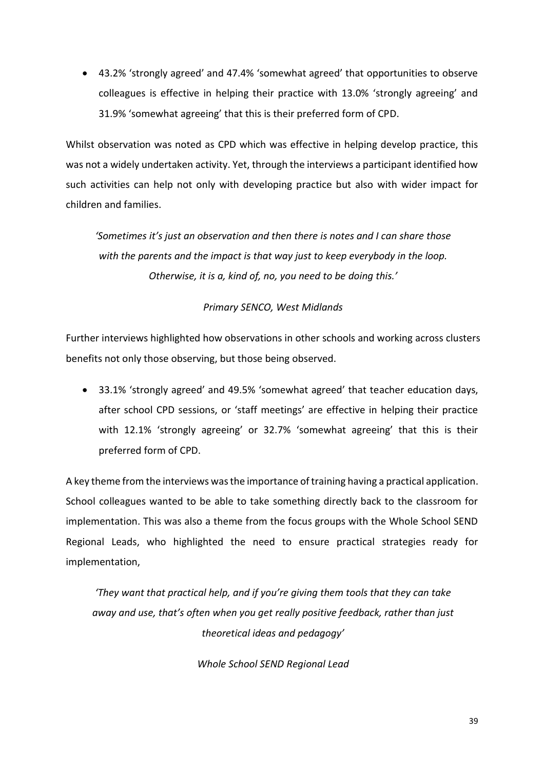• 43.2% 'strongly agreed' and 47.4% 'somewhat agreed' that opportunities to observe colleagues is effective in helping their practice with 13.0% 'strongly agreeing' and 31.9% 'somewhat agreeing' that this is their preferred form of CPD.

Whilst observation was noted as CPD which was effective in helping develop practice, this was not a widely undertaken activity. Yet, through the interviews a participant identified how such activities can help not only with developing practice but also with wider impact for children and families.

*'Sometimes it's just an observation and then there is notes and I can share those with the parents and the impact is that way just to keep everybody in the loop. Otherwise, it is a, kind of, no, you need to be doing this.'*

#### *Primary SENCO, West Midlands*

Further interviews highlighted how observations in other schools and working across clusters benefits not only those observing, but those being observed.

• 33.1% 'strongly agreed' and 49.5% 'somewhat agreed' that teacher education days, after school CPD sessions, or 'staff meetings' are effective in helping their practice with 12.1% 'strongly agreeing' or 32.7% 'somewhat agreeing' that this is their preferred form of CPD.

A key theme from the interviews was the importance of training having a practical application. School colleagues wanted to be able to take something directly back to the classroom for implementation. This was also a theme from the focus groups with the Whole School SEND Regional Leads, who highlighted the need to ensure practical strategies ready for implementation,

*'They want that practical help, and if you're giving them tools that they can take away and use, that's often when you get really positive feedback, rather than just theoretical ideas and pedagogy'*

*Whole School SEND Regional Lead*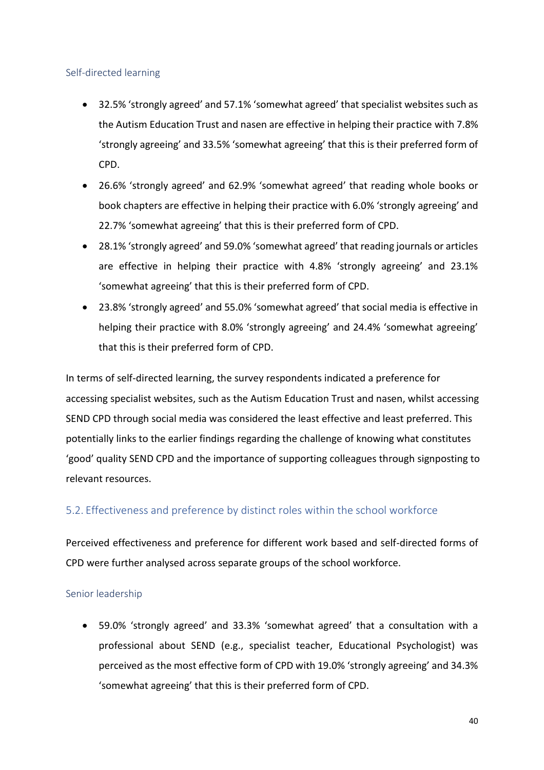#### Self-directed learning

- 32.5% 'strongly agreed' and 57.1% 'somewhat agreed' that specialist websites such as the Autism Education Trust and nasen are effective in helping their practice with 7.8% 'strongly agreeing' and 33.5% 'somewhat agreeing' that this is their preferred form of CPD.
- 26.6% 'strongly agreed' and 62.9% 'somewhat agreed' that reading whole books or book chapters are effective in helping their practice with 6.0% 'strongly agreeing' and 22.7% 'somewhat agreeing' that this is their preferred form of CPD.
- 28.1% 'strongly agreed' and 59.0% 'somewhat agreed' that reading journals or articles are effective in helping their practice with 4.8% 'strongly agreeing' and 23.1% 'somewhat agreeing' that this is their preferred form of CPD.
- 23.8% 'strongly agreed' and 55.0% 'somewhat agreed' that social media is effective in helping their practice with 8.0% 'strongly agreeing' and 24.4% 'somewhat agreeing' that this is their preferred form of CPD.

In terms of self-directed learning, the survey respondents indicated a preference for accessing specialist websites, such as the Autism Education Trust and nasen, whilst accessing SEND CPD through social media was considered the least effective and least preferred. This potentially links to the earlier findings regarding the challenge of knowing what constitutes 'good' quality SEND CPD and the importance of supporting colleagues through signposting to relevant resources.

#### <span id="page-44-0"></span>5.2. Effectiveness and preference by distinct roles within the school workforce

Perceived effectiveness and preference for different work based and self-directed forms of CPD were further analysed across separate groups of the school workforce.

#### Senior leadership

• 59.0% 'strongly agreed' and 33.3% 'somewhat agreed' that a consultation with a professional about SEND (e.g., specialist teacher, Educational Psychologist) was perceived as the most effective form of CPD with 19.0% 'strongly agreeing' and 34.3% 'somewhat agreeing' that this is their preferred form of CPD.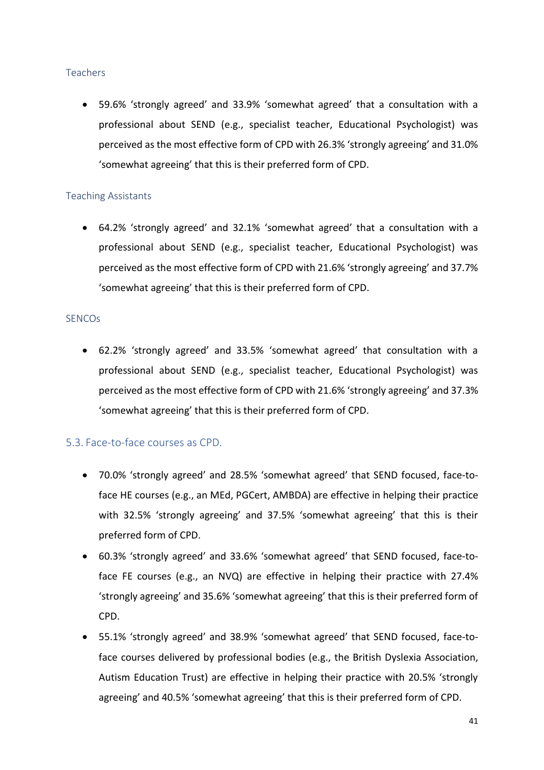#### **Teachers**

• 59.6% 'strongly agreed' and 33.9% 'somewhat agreed' that a consultation with a professional about SEND (e.g., specialist teacher, Educational Psychologist) was perceived as the most effective form of CPD with 26.3% 'strongly agreeing' and 31.0% 'somewhat agreeing' that this is their preferred form of CPD.

#### Teaching Assistants

• 64.2% 'strongly agreed' and 32.1% 'somewhat agreed' that a consultation with a professional about SEND (e.g., specialist teacher, Educational Psychologist) was perceived as the most effective form of CPD with 21.6% 'strongly agreeing' and 37.7% 'somewhat agreeing' that this is their preferred form of CPD.

#### SENCOs

• 62.2% 'strongly agreed' and 33.5% 'somewhat agreed' that consultation with a professional about SEND (e.g., specialist teacher, Educational Psychologist) was perceived as the most effective form of CPD with 21.6% 'strongly agreeing' and 37.3% 'somewhat agreeing' that this is their preferred form of CPD.

#### <span id="page-45-0"></span>5.3. Face-to-face courses as CPD.

- 70.0% 'strongly agreed' and 28.5% 'somewhat agreed' that SEND focused, face-toface HE courses (e.g., an MEd, PGCert, AMBDA) are effective in helping their practice with 32.5% 'strongly agreeing' and 37.5% 'somewhat agreeing' that this is their preferred form of CPD.
- 60.3% 'strongly agreed' and 33.6% 'somewhat agreed' that SEND focused, face-toface FE courses (e.g., an NVQ) are effective in helping their practice with 27.4% 'strongly agreeing' and 35.6% 'somewhat agreeing' that this is their preferred form of CPD.
- 55.1% 'strongly agreed' and 38.9% 'somewhat agreed' that SEND focused, face-toface courses delivered by professional bodies (e.g., the British Dyslexia Association, Autism Education Trust) are effective in helping their practice with 20.5% 'strongly agreeing' and 40.5% 'somewhat agreeing' that this is their preferred form of CPD.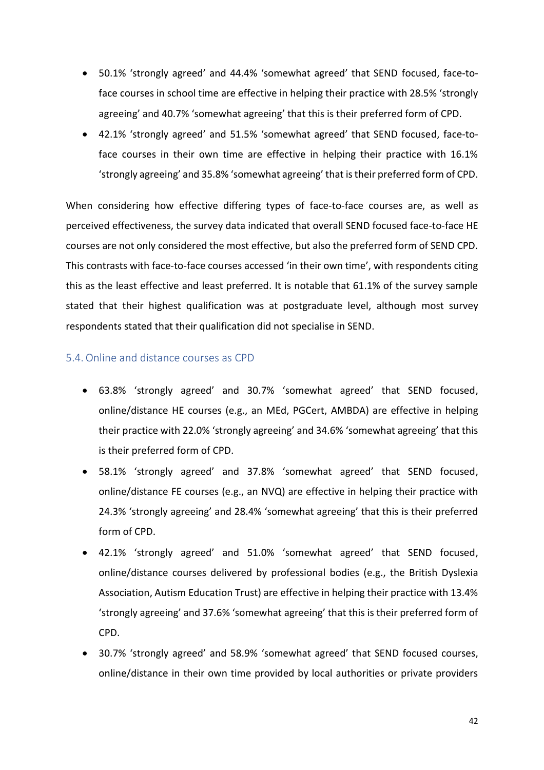- 50.1% 'strongly agreed' and 44.4% 'somewhat agreed' that SEND focused, face-toface courses in school time are effective in helping their practice with 28.5% 'strongly agreeing' and 40.7% 'somewhat agreeing' that this is their preferred form of CPD.
- 42.1% 'strongly agreed' and 51.5% 'somewhat agreed' that SEND focused, face-toface courses in their own time are effective in helping their practice with 16.1% 'strongly agreeing' and 35.8% 'somewhat agreeing' that is their preferred form of CPD.

When considering how effective differing types of face-to-face courses are, as well as perceived effectiveness, the survey data indicated that overall SEND focused face-to-face HE courses are not only considered the most effective, but also the preferred form of SEND CPD. This contrasts with face-to-face courses accessed 'in their own time', with respondents citing this as the least effective and least preferred. It is notable that 61.1% of the survey sample stated that their highest qualification was at postgraduate level, although most survey respondents stated that their qualification did not specialise in SEND.

#### <span id="page-46-0"></span>5.4.Online and distance courses as CPD

- 63.8% 'strongly agreed' and 30.7% 'somewhat agreed' that SEND focused, online/distance HE courses (e.g., an MEd, PGCert, AMBDA) are effective in helping their practice with 22.0% 'strongly agreeing' and 34.6% 'somewhat agreeing' that this is their preferred form of CPD.
- 58.1% 'strongly agreed' and 37.8% 'somewhat agreed' that SEND focused, online/distance FE courses (e.g., an NVQ) are effective in helping their practice with 24.3% 'strongly agreeing' and 28.4% 'somewhat agreeing' that this is their preferred form of CPD.
- 42.1% 'strongly agreed' and 51.0% 'somewhat agreed' that SEND focused, online/distance courses delivered by professional bodies (e.g., the British Dyslexia Association, Autism Education Trust) are effective in helping their practice with 13.4% 'strongly agreeing' and 37.6% 'somewhat agreeing' that this is their preferred form of CPD.
- 30.7% 'strongly agreed' and 58.9% 'somewhat agreed' that SEND focused courses, online/distance in their own time provided by local authorities or private providers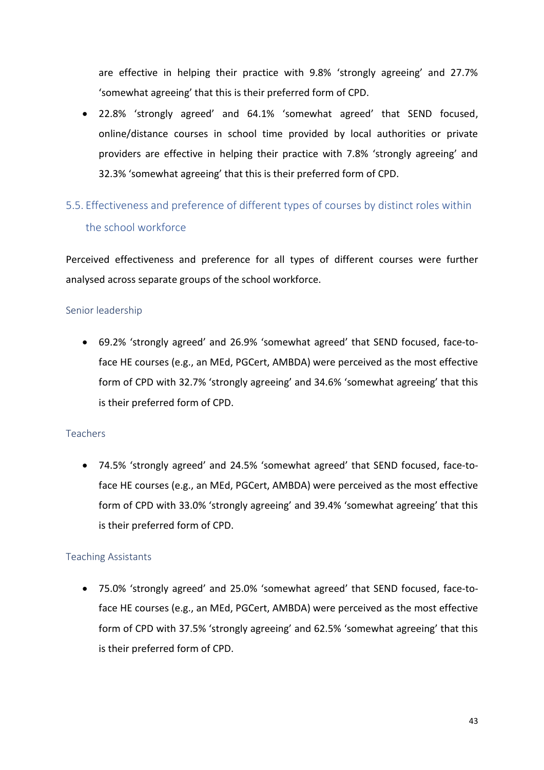are effective in helping their practice with 9.8% 'strongly agreeing' and 27.7% 'somewhat agreeing' that this is their preferred form of CPD.

• 22.8% 'strongly agreed' and 64.1% 'somewhat agreed' that SEND focused, online/distance courses in school time provided by local authorities or private providers are effective in helping their practice with 7.8% 'strongly agreeing' and 32.3% 'somewhat agreeing' that this is their preferred form of CPD.

# <span id="page-47-0"></span>5.5. Effectiveness and preference of different types of courses by distinct roles within the school workforce

Perceived effectiveness and preference for all types of different courses were further analysed across separate groups of the school workforce.

#### Senior leadership

• 69.2% 'strongly agreed' and 26.9% 'somewhat agreed' that SEND focused, face-toface HE courses (e.g., an MEd, PGCert, AMBDA) were perceived as the most effective form of CPD with 32.7% 'strongly agreeing' and 34.6% 'somewhat agreeing' that this is their preferred form of CPD.

#### Teachers

• 74.5% 'strongly agreed' and 24.5% 'somewhat agreed' that SEND focused, face-toface HE courses (e.g., an MEd, PGCert, AMBDA) were perceived as the most effective form of CPD with 33.0% 'strongly agreeing' and 39.4% 'somewhat agreeing' that this is their preferred form of CPD.

#### Teaching Assistants

• 75.0% 'strongly agreed' and 25.0% 'somewhat agreed' that SEND focused, face-toface HE courses (e.g., an MEd, PGCert, AMBDA) were perceived as the most effective form of CPD with 37.5% 'strongly agreeing' and 62.5% 'somewhat agreeing' that this is their preferred form of CPD.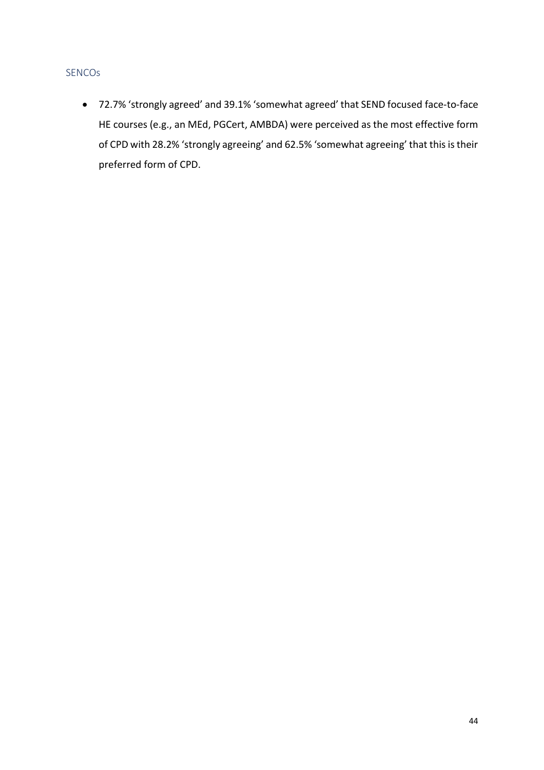#### SENCOs

• 72.7% 'strongly agreed' and 39.1% 'somewhat agreed' that SEND focused face-to-face HE courses (e.g., an MEd, PGCert, AMBDA) were perceived as the most effective form of CPD with 28.2% 'strongly agreeing' and 62.5% 'somewhat agreeing' that this is their preferred form of CPD.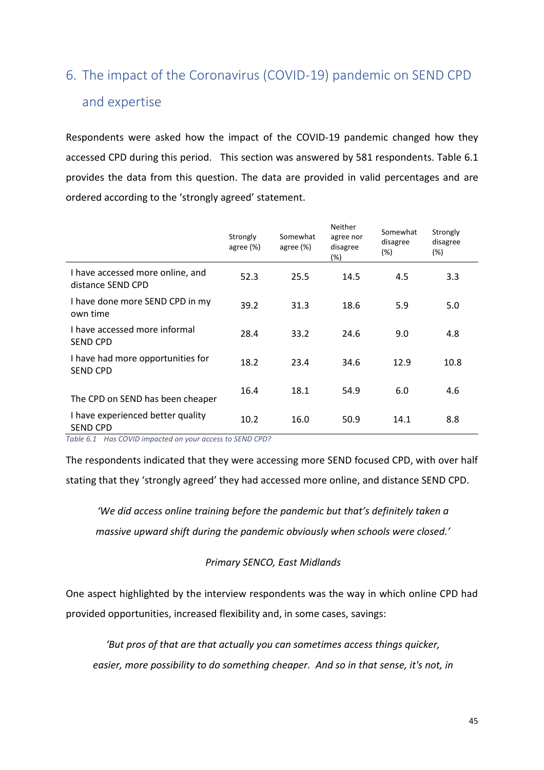# <span id="page-49-0"></span>6. The impact of the Coronavirus (COVID-19) pandemic on SEND CPD and expertise

Respondents were asked how the impact of the COVID-19 pandemic changed how they accessed CPD during this period. This section was answered by 581 respondents. Table 6.1 provides the data from this question. The data are provided in valid percentages and are ordered according to the 'strongly agreed' statement.

|                                                       | Strongly<br>agree (%) | Somewhat<br>agree (%) | <b>Neither</b><br>agree nor<br>disagree<br>$(\%)$ | Somewhat<br>disagree<br>(%) | Strongly<br>disagree<br>(%) |
|-------------------------------------------------------|-----------------------|-----------------------|---------------------------------------------------|-----------------------------|-----------------------------|
| I have accessed more online, and<br>distance SEND CPD | 52.3                  | 25.5                  | 14.5                                              | 4.5                         | 3.3                         |
| I have done more SEND CPD in my<br>own time           | 39.2                  | 31.3                  | 18.6                                              | 5.9                         | 5.0                         |
| I have accessed more informal<br><b>SEND CPD</b>      | 28.4                  | 33.2                  | 24.6                                              | 9.0                         | 4.8                         |
| I have had more opportunities for<br><b>SEND CPD</b>  | 18.2                  | 23.4                  | 34.6                                              | 12.9                        | 10.8                        |
| The CPD on SEND has been cheaper                      | 16.4                  | 18.1                  | 54.9                                              | 6.0                         | 4.6                         |
| I have experienced better quality<br>SEND CPD         | 10.2                  | 16.0                  | 50.9                                              | 14.1                        | 8.8                         |

<span id="page-49-1"></span>*Table 6.1 Has COVID impacted on your access to SEND CPD?*

The respondents indicated that they were accessing more SEND focused CPD, with over half stating that they 'strongly agreed' they had accessed more online, and distance SEND CPD.

*'We did access online training before the pandemic but that's definitely taken a massive upward shift during the pandemic obviously when schools were closed.'*

#### *Primary SENCO, East Midlands*

One aspect highlighted by the interview respondents was the way in which online CPD had provided opportunities, increased flexibility and, in some cases, savings:

*'But pros of that are that actually you can sometimes access things quicker, easier, more possibility to do something cheaper. And so in that sense, it's not, in*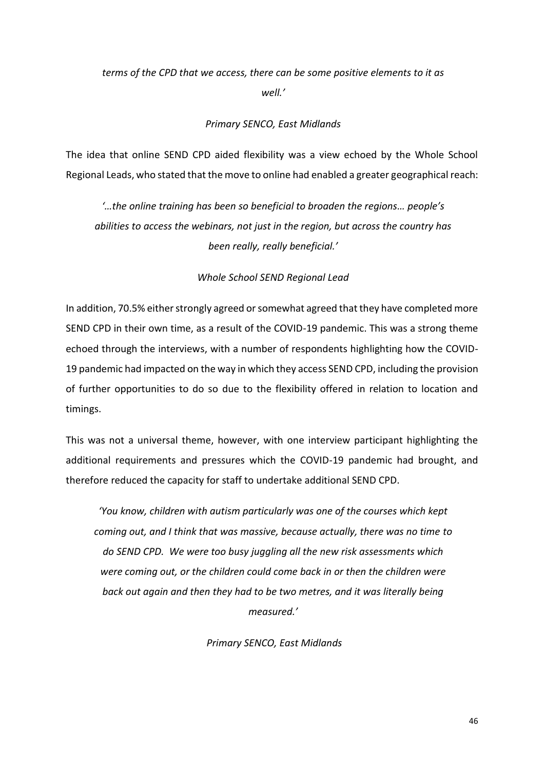### *terms of the CPD that we access, there can be some positive elements to it as well.'*

#### *Primary SENCO, East Midlands*

The idea that online SEND CPD aided flexibility was a view echoed by the Whole School Regional Leads, who stated that the move to online had enabled a greater geographical reach:

*'…the online training has been so beneficial to broaden the regions… people's abilities to access the webinars, not just in the region, but across the country has been really, really beneficial.'*

#### *Whole School SEND Regional Lead*

In addition, 70.5% either strongly agreed or somewhat agreed that they have completed more SEND CPD in their own time, as a result of the COVID-19 pandemic. This was a strong theme echoed through the interviews, with a number of respondents highlighting how the COVID-19 pandemic had impacted on the way in which they access SEND CPD, including the provision of further opportunities to do so due to the flexibility offered in relation to location and timings.

This was not a universal theme, however, with one interview participant highlighting the additional requirements and pressures which the COVID-19 pandemic had brought, and therefore reduced the capacity for staff to undertake additional SEND CPD.

*'You know, children with autism particularly was one of the courses which kept coming out, and I think that was massive, because actually, there was no time to do SEND CPD. We were too busy juggling all the new risk assessments which were coming out, or the children could come back in or then the children were back out again and then they had to be two metres, and it was literally being measured.'*

*Primary SENCO, East Midlands*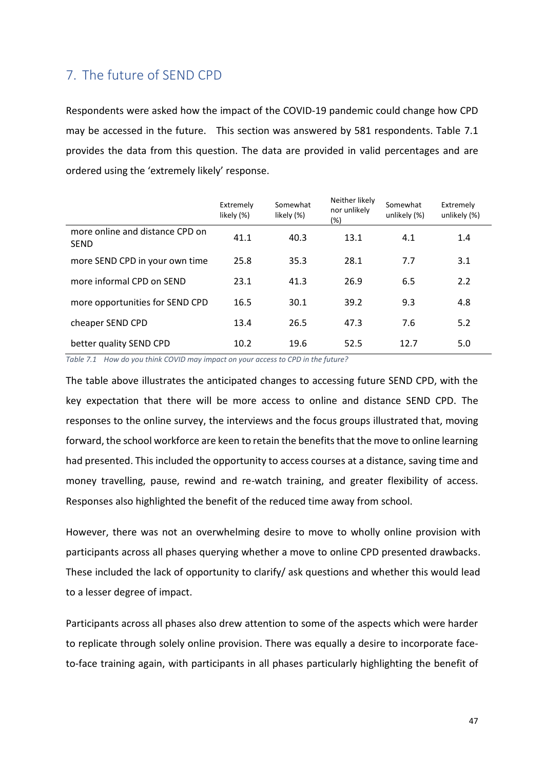## <span id="page-51-0"></span>7. The future of SEND CPD

Respondents were asked how the impact of the COVID-19 pandemic could change how CPD may be accessed in the future. This section was answered by 581 respondents. Table 7.1 provides the data from this question. The data are provided in valid percentages and are ordered using the 'extremely likely' response.

|                                                | Extremely<br>likely (%) | Somewhat<br>likely (%) | Neither likely<br>nor unlikely<br>(%) | Somewhat<br>unlikely (%) | Extremely<br>unlikely (%) |
|------------------------------------------------|-------------------------|------------------------|---------------------------------------|--------------------------|---------------------------|
| more online and distance CPD on<br><b>SEND</b> | 41.1                    | 40.3                   | 13.1                                  | 4.1                      | 1.4                       |
| more SEND CPD in your own time                 | 25.8                    | 35.3                   | 28.1                                  | 7.7                      | 3.1                       |
| more informal CPD on SEND                      | 23.1                    | 41.3                   | 26.9                                  | 6.5                      | 2.2                       |
| more opportunities for SEND CPD                | 16.5                    | 30.1                   | 39.2                                  | 9.3                      | 4.8                       |
| cheaper SEND CPD                               | 13.4                    | 26.5                   | 47.3                                  | 7.6                      | 5.2                       |
| better quality SEND CPD                        | 10.2                    | 19.6                   | 52.5                                  | 12.7                     | 5.0                       |

<span id="page-51-1"></span>*Table 7.1 How do you think COVID may impact on your access to CPD in the future?*

The table above illustrates the anticipated changes to accessing future SEND CPD, with the key expectation that there will be more access to online and distance SEND CPD. The responses to the online survey, the interviews and the focus groups illustrated that, moving forward, the school workforce are keen to retain the benefits that the move to online learning had presented. This included the opportunity to access courses at a distance, saving time and money travelling, pause, rewind and re-watch training, and greater flexibility of access. Responses also highlighted the benefit of the reduced time away from school.

However, there was not an overwhelming desire to move to wholly online provision with participants across all phases querying whether a move to online CPD presented drawbacks. These included the lack of opportunity to clarify/ ask questions and whether this would lead to a lesser degree of impact.

Participants across all phases also drew attention to some of the aspects which were harder to replicate through solely online provision. There was equally a desire to incorporate faceto-face training again, with participants in all phases particularly highlighting the benefit of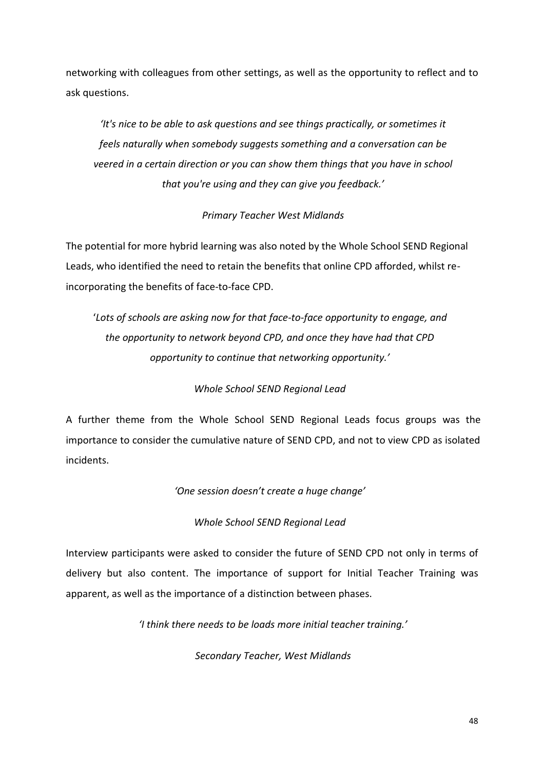networking with colleagues from other settings, as well as the opportunity to reflect and to ask questions.

*'It's nice to be able to ask questions and see things practically, or sometimes it feels naturally when somebody suggests something and a conversation can be veered in a certain direction or you can show them things that you have in school that you're using and they can give you feedback.'*

#### *Primary Teacher West Midlands*

The potential for more hybrid learning was also noted by the Whole School SEND Regional Leads, who identified the need to retain the benefits that online CPD afforded, whilst reincorporating the benefits of face-to-face CPD.

'*Lots of schools are asking now for that face-to-face opportunity to engage, and the opportunity to network beyond CPD, and once they have had that CPD opportunity to continue that networking opportunity.'*

#### *Whole School SEND Regional Lead*

A further theme from the Whole School SEND Regional Leads focus groups was the importance to consider the cumulative nature of SEND CPD, and not to view CPD as isolated incidents.

*'One session doesn't create a huge change'*

#### *Whole School SEND Regional Lead*

Interview participants were asked to consider the future of SEND CPD not only in terms of delivery but also content. The importance of support for Initial Teacher Training was apparent, as well as the importance of a distinction between phases.

*'I think there needs to be loads more initial teacher training.'*

*Secondary Teacher, West Midlands*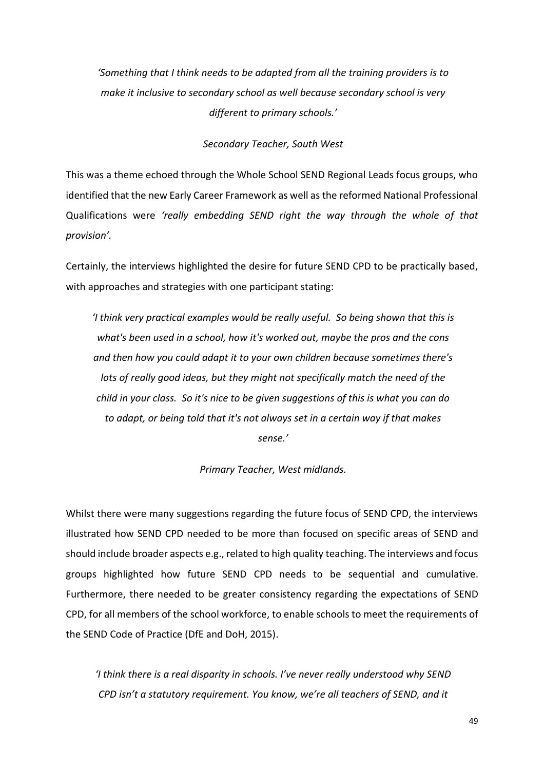*'Something that I think needs to be adapted from all the training providers is to make it inclusive to secondary school as well because secondary school is very different to primary schools.'*

*Secondary Teacher, South West*

This was a theme echoed through the Whole School SEND Regional Leads focus groups, who identified that the new Early Career Framework as well as the reformed National Professional Qualifications were *'really embedding SEND right the way through the whole of that provision'.* 

Certainly, the interviews highlighted the desire for future SEND CPD to be practically based, with approaches and strategies with one participant stating:

*'I think very practical examples would be really useful. So being shown that this is what's been used in a school, how it's worked out, maybe the pros and the cons and then how you could adapt it to your own children because sometimes there's lots of really good ideas, but they might not specifically match the need of the child in your class. So it's nice to be given suggestions of this is what you can do to adapt, or being told that it's not always set in a certain way if that makes sense.'*

*Primary Teacher, West midlands.*

Whilst there were many suggestions regarding the future focus of SEND CPD, the interviews illustrated how SEND CPD needed to be more than focused on specific areas of SEND and should include broader aspects e.g., related to high quality teaching. The interviews and focus groups highlighted how future SEND CPD needs to be sequential and cumulative. Furthermore, there needed to be greater consistency regarding the expectations of SEND CPD, for all members of the school workforce, to enable schools to meet the requirements of the SEND Code of Practice (DfE and DoH, 2015).

*'I think there is a real disparity in schools. I've never really understood why SEND CPD isn't a statutory requirement. You know, we're all teachers of SEND, and it*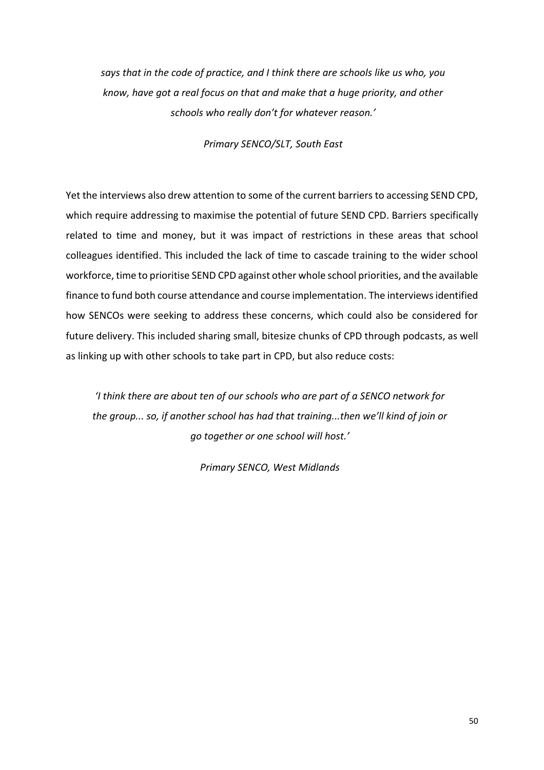*says that in the code of practice, and I think there are schools like us who, you know, have got a real focus on that and make that a huge priority, and other schools who really don't for whatever reason.'*

*Primary SENCO/SLT, South East*

Yet the interviews also drew attention to some of the current barriers to accessing SEND CPD, which require addressing to maximise the potential of future SEND CPD. Barriers specifically related to time and money, but it was impact of restrictions in these areas that school colleagues identified. This included the lack of time to cascade training to the wider school workforce, time to prioritise SEND CPD against other whole school priorities, and the available finance to fund both course attendance and course implementation. The interviews identified how SENCOs were seeking to address these concerns, which could also be considered for future delivery. This included sharing small, bitesize chunks of CPD through podcasts, as well as linking up with other schools to take part in CPD, but also reduce costs:

*'I think there are about ten of our schools who are part of a SENCO network for the group... so, if another school has had that training...then we'll kind of join or go together or one school will host.'*

*Primary SENCO, West Midlands*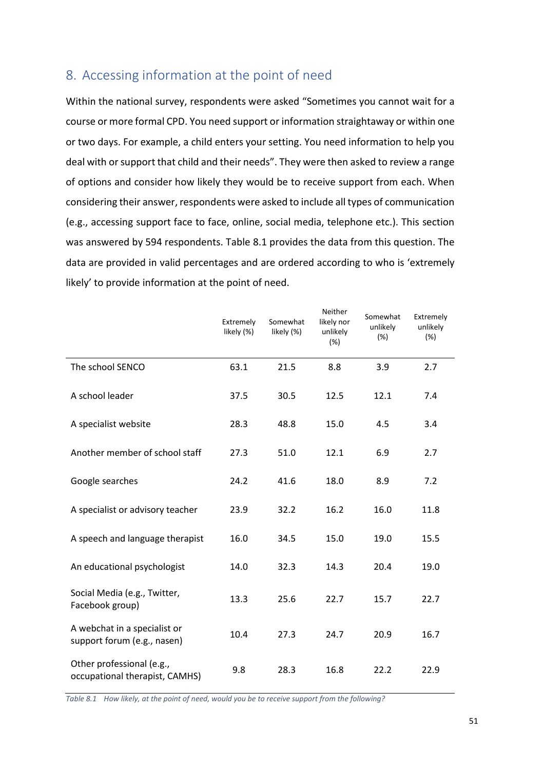# <span id="page-55-0"></span>8. Accessing information at the point of need

Within the national survey, respondents were asked "Sometimes you cannot wait for a course or more formal CPD. You need support or information straightaway or within one or two days. For example, a child enters your setting. You need information to help you deal with or support that child and their needs". They were then asked to review a range of options and consider how likely they would be to receive support from each. When considering their answer, respondents were asked to include all types of communication (e.g., accessing support face to face, online, social media, telephone etc.). This section was answered by 594 respondents. Table 8.1 provides the data from this question. The data are provided in valid percentages and are ordered according to who is 'extremely likely' to provide information at the point of need.

|                                                             | Extremely<br>likely (%) | Somewhat<br>likely (%) | Neither<br>likely nor<br>unlikely<br>(%) | Somewhat<br>unlikely<br>(%) | Extremely<br>unlikely<br>(%) |
|-------------------------------------------------------------|-------------------------|------------------------|------------------------------------------|-----------------------------|------------------------------|
| The school SENCO                                            | 63.1                    | 21.5                   | 8.8                                      | 3.9                         | 2.7                          |
| A school leader                                             | 37.5                    | 30.5                   | 12.5                                     | 12.1                        | 7.4                          |
| A specialist website                                        | 28.3                    | 48.8                   | 15.0                                     | 4.5                         | 3.4                          |
| Another member of school staff                              | 27.3                    | 51.0                   | 12.1                                     | 6.9                         | 2.7                          |
| Google searches                                             | 24.2                    | 41.6                   | 18.0                                     | 8.9                         | 7.2                          |
| A specialist or advisory teacher                            | 23.9                    | 32.2                   | 16.2                                     | 16.0                        | 11.8                         |
| A speech and language therapist                             | 16.0                    | 34.5                   | 15.0                                     | 19.0                        | 15.5                         |
| An educational psychologist                                 | 14.0                    | 32.3                   | 14.3                                     | 20.4                        | 19.0                         |
| Social Media (e.g., Twitter,<br>Facebook group)             | 13.3                    | 25.6                   | 22.7                                     | 15.7                        | 22.7                         |
| A webchat in a specialist or<br>support forum (e.g., nasen) | 10.4                    | 27.3                   | 24.7                                     | 20.9                        | 16.7                         |
| Other professional (e.g.,<br>occupational therapist, CAMHS) | 9.8                     | 28.3                   | 16.8                                     | 22.2                        | 22.9                         |

<span id="page-55-1"></span>*Table 8.1 How likely, at the point of need, would you be to receive support from the following?*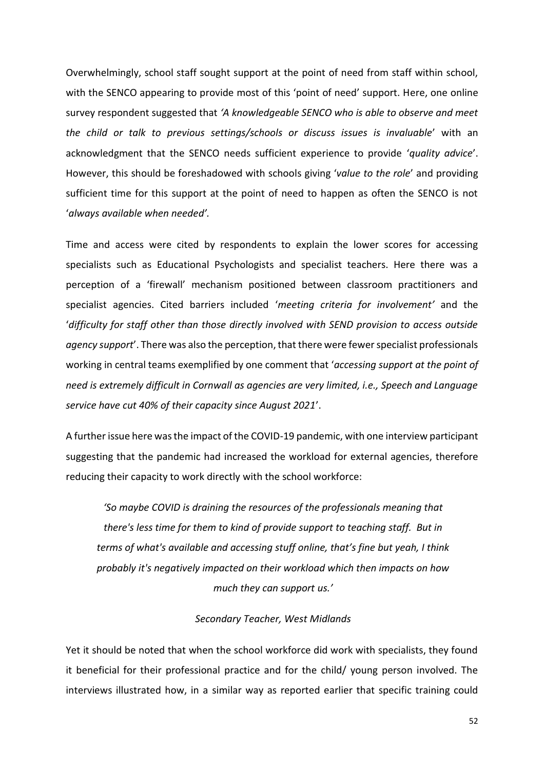Overwhelmingly, school staff sought support at the point of need from staff within school, with the SENCO appearing to provide most of this 'point of need' support. Here, one online survey respondent suggested that *'A knowledgeable SENCO who is able to observe and meet the child or talk to previous settings/schools or discuss issues is invaluable*' with an acknowledgment that the SENCO needs sufficient experience to provide '*quality advice*'. However, this should be foreshadowed with schools giving '*value to the role*' and providing sufficient time for this support at the point of need to happen as often the SENCO is not '*always available when needed'.*

Time and access were cited by respondents to explain the lower scores for accessing specialists such as Educational Psychologists and specialist teachers. Here there was a perception of a 'firewall' mechanism positioned between classroom practitioners and specialist agencies. Cited barriers included '*meeting criteria for involvement'* and the '*difficulty for staff other than those directly involved with SEND provision to access outside agency support*'. There was also the perception, that there were fewer specialist professionals working in central teams exemplified by one comment that '*accessing support at the point of need is extremely difficult in Cornwall as agencies are very limited, i.e., Speech and Language service have cut 40% of their capacity since August 2021*'.

A further issue here was the impact of the COVID-19 pandemic, with one interview participant suggesting that the pandemic had increased the workload for external agencies, therefore reducing their capacity to work directly with the school workforce:

*'So maybe COVID is draining the resources of the professionals meaning that there's less time for them to kind of provide support to teaching staff. But in terms of what's available and accessing stuff online, that's fine but yeah, I think probably it's negatively impacted on their workload which then impacts on how much they can support us.'*

#### *Secondary Teacher, West Midlands*

Yet it should be noted that when the school workforce did work with specialists, they found it beneficial for their professional practice and for the child/ young person involved. The interviews illustrated how, in a similar way as reported earlier that specific training could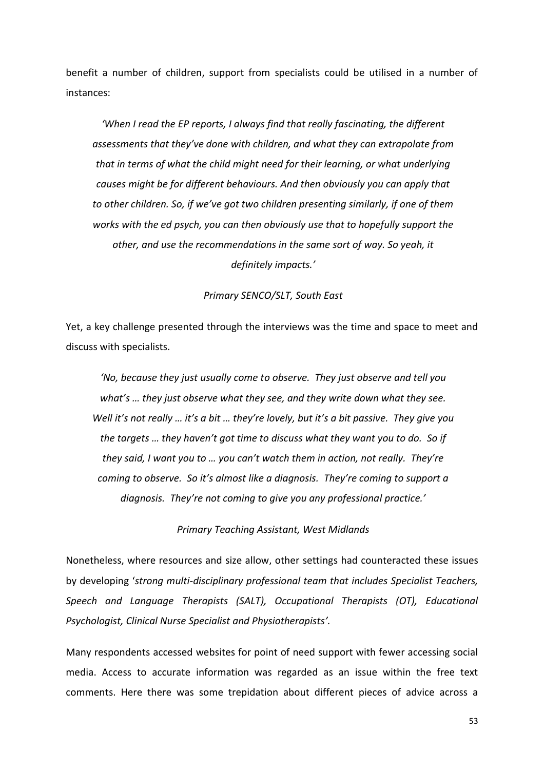benefit a number of children, support from specialists could be utilised in a number of instances:

*'When I read the EP reports, I always find that really fascinating, the different assessments that they've done with children, and what they can extrapolate from that in terms of what the child might need for their learning, or what underlying causes might be for different behaviours. And then obviously you can apply that to other children. So, if we've got two children presenting similarly, if one of them works with the ed psych, you can then obviously use that to hopefully support the other, and use the recommendations in the same sort of way. So yeah, it definitely impacts.'*

#### *Primary SENCO/SLT, South East*

Yet, a key challenge presented through the interviews was the time and space to meet and discuss with specialists.

*'No, because they just usually come to observe. They just observe and tell you what's … they just observe what they see, and they write down what they see. Well it's not really … it's a bit … they're lovely, but it's a bit passive. They give you the targets … they haven't got time to discuss what they want you to do. So if they said, I want you to … you can't watch them in action, not really. They're coming to observe. So it's almost like a diagnosis. They're coming to support a diagnosis. They're not coming to give you any professional practice.'*

*Primary Teaching Assistant, West Midlands*

Nonetheless, where resources and size allow, other settings had counteracted these issues by developing '*strong multi-disciplinary professional team that includes Specialist Teachers, Speech and Language Therapists (SALT), Occupational Therapists (OT), Educational Psychologist, Clinical Nurse Specialist and Physiotherapists'.*

Many respondents accessed websites for point of need support with fewer accessing social media. Access to accurate information was regarded as an issue within the free text comments. Here there was some trepidation about different pieces of advice across a

53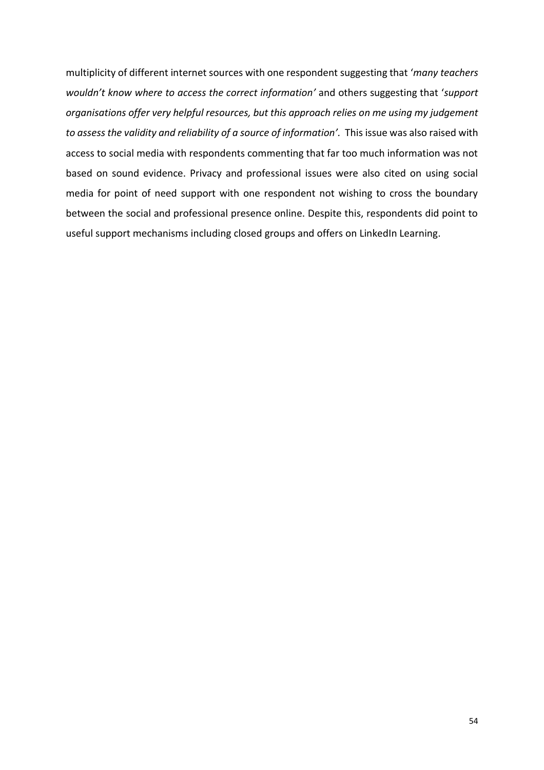multiplicity of different internet sources with one respondent suggesting that '*many teachers wouldn't know where to access the correct information'* and others suggesting that '*support organisations offer very helpful resources, but this approach relies on me using my judgement to assess the validity and reliability of a source of information'.* This issue was also raised with access to social media with respondents commenting that far too much information was not based on sound evidence. Privacy and professional issues were also cited on using social media for point of need support with one respondent not wishing to cross the boundary between the social and professional presence online. Despite this, respondents did point to useful support mechanisms including closed groups and offers on LinkedIn Learning.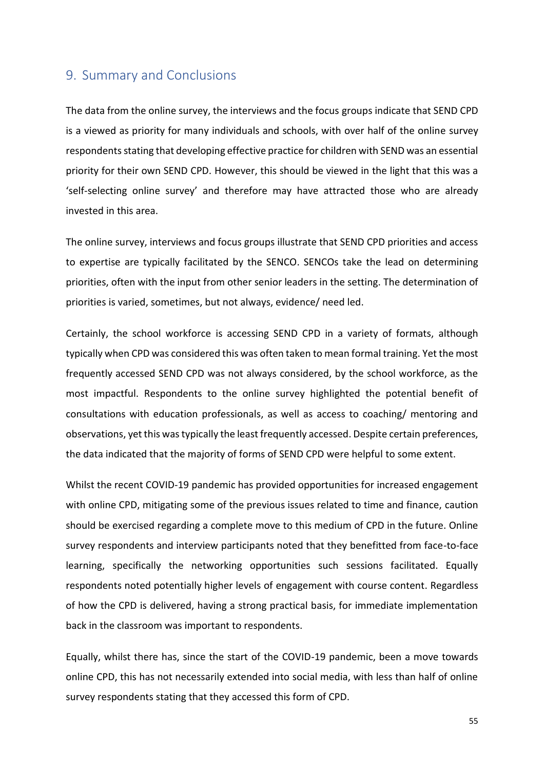#### <span id="page-59-0"></span>9. Summary and Conclusions

The data from the online survey, the interviews and the focus groups indicate that SEND CPD is a viewed as priority for many individuals and schools, with over half of the online survey respondents stating that developing effective practice for children with SEND was an essential priority for their own SEND CPD. However, this should be viewed in the light that this was a 'self-selecting online survey' and therefore may have attracted those who are already invested in this area.

The online survey, interviews and focus groups illustrate that SEND CPD priorities and access to expertise are typically facilitated by the SENCO. SENCOs take the lead on determining priorities, often with the input from other senior leaders in the setting. The determination of priorities is varied, sometimes, but not always, evidence/ need led.

Certainly, the school workforce is accessing SEND CPD in a variety of formats, although typically when CPD was considered this was often taken to mean formal training. Yet the most frequently accessed SEND CPD was not always considered, by the school workforce, as the most impactful. Respondents to the online survey highlighted the potential benefit of consultations with education professionals, as well as access to coaching/ mentoring and observations, yet this was typically the least frequently accessed. Despite certain preferences, the data indicated that the majority of forms of SEND CPD were helpful to some extent.

Whilst the recent COVID-19 pandemic has provided opportunities for increased engagement with online CPD, mitigating some of the previous issues related to time and finance, caution should be exercised regarding a complete move to this medium of CPD in the future. Online survey respondents and interview participants noted that they benefitted from face-to-face learning, specifically the networking opportunities such sessions facilitated. Equally respondents noted potentially higher levels of engagement with course content. Regardless of how the CPD is delivered, having a strong practical basis, for immediate implementation back in the classroom was important to respondents.

Equally, whilst there has, since the start of the COVID-19 pandemic, been a move towards online CPD, this has not necessarily extended into social media, with less than half of online survey respondents stating that they accessed this form of CPD.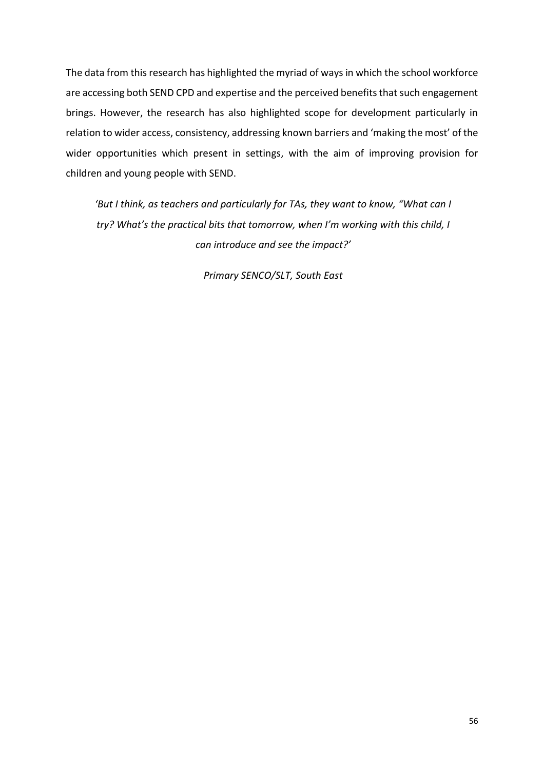The data from this research has highlighted the myriad of ways in which the school workforce are accessing both SEND CPD and expertise and the perceived benefits that such engagement brings. However, the research has also highlighted scope for development particularly in relation to wider access, consistency, addressing known barriers and 'making the most' of the wider opportunities which present in settings, with the aim of improving provision for children and young people with SEND.

*'But I think, as teachers and particularly for TAs, they want to know, "What can I try? What's the practical bits that tomorrow, when I'm working with this child, I can introduce and see the impact?'*

*Primary SENCO/SLT, South East*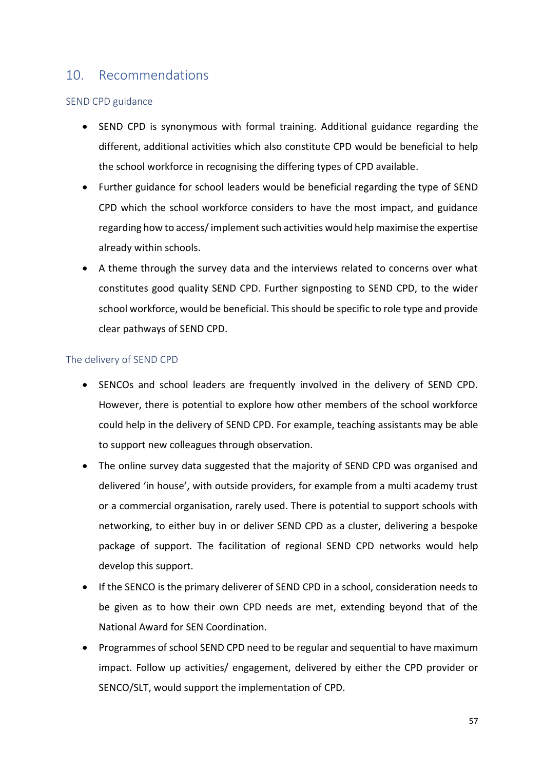## <span id="page-61-0"></span>10. Recommendations

#### SEND CPD guidance

- SEND CPD is synonymous with formal training. Additional guidance regarding the different, additional activities which also constitute CPD would be beneficial to help the school workforce in recognising the differing types of CPD available.
- Further guidance for school leaders would be beneficial regarding the type of SEND CPD which the school workforce considers to have the most impact, and guidance regarding how to access/ implement such activities would help maximise the expertise already within schools.
- A theme through the survey data and the interviews related to concerns over what constitutes good quality SEND CPD. Further signposting to SEND CPD, to the wider school workforce, would be beneficial. This should be specific to role type and provide clear pathways of SEND CPD.

#### The delivery of SEND CPD

- SENCOs and school leaders are frequently involved in the delivery of SEND CPD. However, there is potential to explore how other members of the school workforce could help in the delivery of SEND CPD. For example, teaching assistants may be able to support new colleagues through observation.
- The online survey data suggested that the majority of SEND CPD was organised and delivered 'in house', with outside providers, for example from a multi academy trust or a commercial organisation, rarely used. There is potential to support schools with networking, to either buy in or deliver SEND CPD as a cluster, delivering a bespoke package of support. The facilitation of regional SEND CPD networks would help develop this support.
- If the SENCO is the primary deliverer of SEND CPD in a school, consideration needs to be given as to how their own CPD needs are met, extending beyond that of the National Award for SEN Coordination.
- Programmes of school SEND CPD need to be regular and sequential to have maximum impact. Follow up activities/ engagement, delivered by either the CPD provider or SENCO/SLT, would support the implementation of CPD.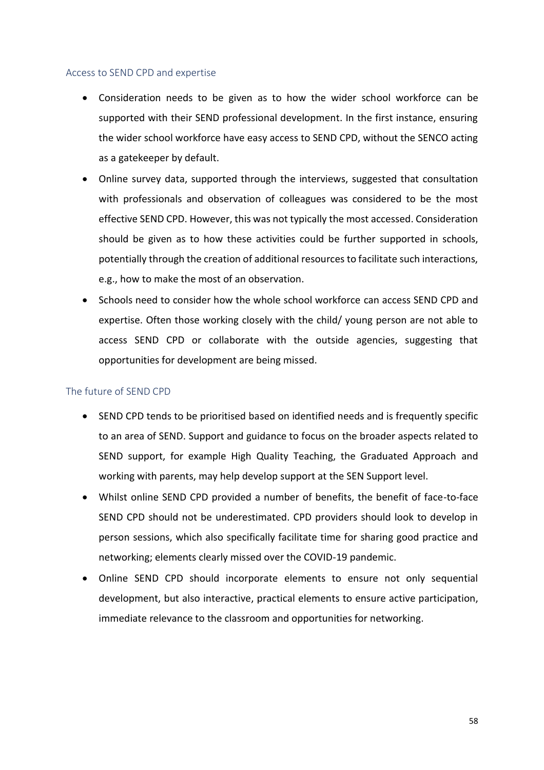#### Access to SEND CPD and expertise

- Consideration needs to be given as to how the wider school workforce can be supported with their SEND professional development. In the first instance, ensuring the wider school workforce have easy access to SEND CPD, without the SENCO acting as a gatekeeper by default.
- Online survey data, supported through the interviews, suggested that consultation with professionals and observation of colleagues was considered to be the most effective SEND CPD. However, this was not typically the most accessed. Consideration should be given as to how these activities could be further supported in schools, potentially through the creation of additional resources to facilitate such interactions, e.g., how to make the most of an observation.
- Schools need to consider how the whole school workforce can access SEND CPD and expertise. Often those working closely with the child/ young person are not able to access SEND CPD or collaborate with the outside agencies, suggesting that opportunities for development are being missed.

#### The future of SEND CPD

- SEND CPD tends to be prioritised based on identified needs and is frequently specific to an area of SEND. Support and guidance to focus on the broader aspects related to SEND support, for example High Quality Teaching, the Graduated Approach and working with parents, may help develop support at the SEN Support level.
- Whilst online SEND CPD provided a number of benefits, the benefit of face-to-face SEND CPD should not be underestimated. CPD providers should look to develop in person sessions, which also specifically facilitate time for sharing good practice and networking; elements clearly missed over the COVID-19 pandemic.
- Online SEND CPD should incorporate elements to ensure not only sequential development, but also interactive, practical elements to ensure active participation, immediate relevance to the classroom and opportunities for networking.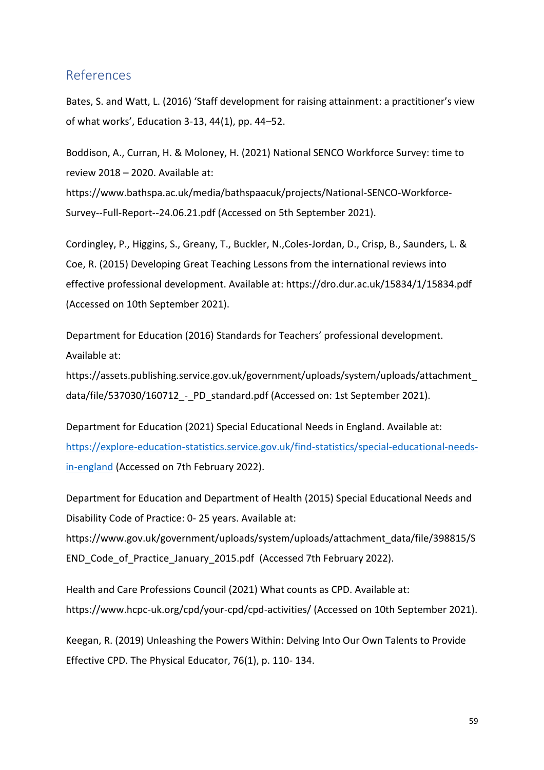#### <span id="page-63-0"></span>References

Bates, S. and Watt, L. (2016) 'Staff development for raising attainment: a practitioner's view of what works', Education 3-13, 44(1), pp. 44–52.

Boddison, A., Curran, H. & Moloney, H. (2021) National SENCO Workforce Survey: time to review 2018 – 2020. Available at: https://www.bathspa.ac.uk/media/bathspaacuk/projects/National-SENCO-Workforce-Survey--Full-Report--24.06.21.pdf (Accessed on 5th September 2021).

Cordingley, P., Higgins, S., Greany, T., Buckler, N.,Coles-Jordan, D., Crisp, B., Saunders, L. & Coe, R. (2015) Developing Great Teaching Lessons from the international reviews into effective professional development. Available at: https://dro.dur.ac.uk/15834/1/15834.pdf (Accessed on 10th September 2021).

Department for Education (2016) Standards for Teachers' professional development. Available at:

https://assets.publishing.service.gov.uk/government/uploads/system/uploads/attachment\_ data/file/537030/160712 - PD standard.pdf (Accessed on: 1st September 2021).

Department for Education (2021) Special Educational Needs in England. Available at: [https://explore-education-statistics.service.gov.uk/find-statistics/special-educational-needs](https://explore-education-statistics.service.gov.uk/find-statistics/special-educational-needs-in-england)[in-england](https://explore-education-statistics.service.gov.uk/find-statistics/special-educational-needs-in-england) (Accessed on 7th February 2022).

Department for Education and Department of Health (2015) Special Educational Needs and Disability Code of Practice: 0- 25 years. Available at:

https://www.gov.uk/government/uploads/system/uploads/attachment\_data/file/398815/S END\_Code\_of\_Practice\_January\_2015.pdf (Accessed 7th February 2022).

Health and Care Professions Council (2021) What counts as CPD. Available at: https://www.hcpc-uk.org/cpd/your-cpd/cpd-activities/ (Accessed on 10th September 2021).

Keegan, R. (2019) Unleashing the Powers Within: Delving Into Our Own Talents to Provide Effective CPD. The Physical Educator, 76(1), p. 110- 134.